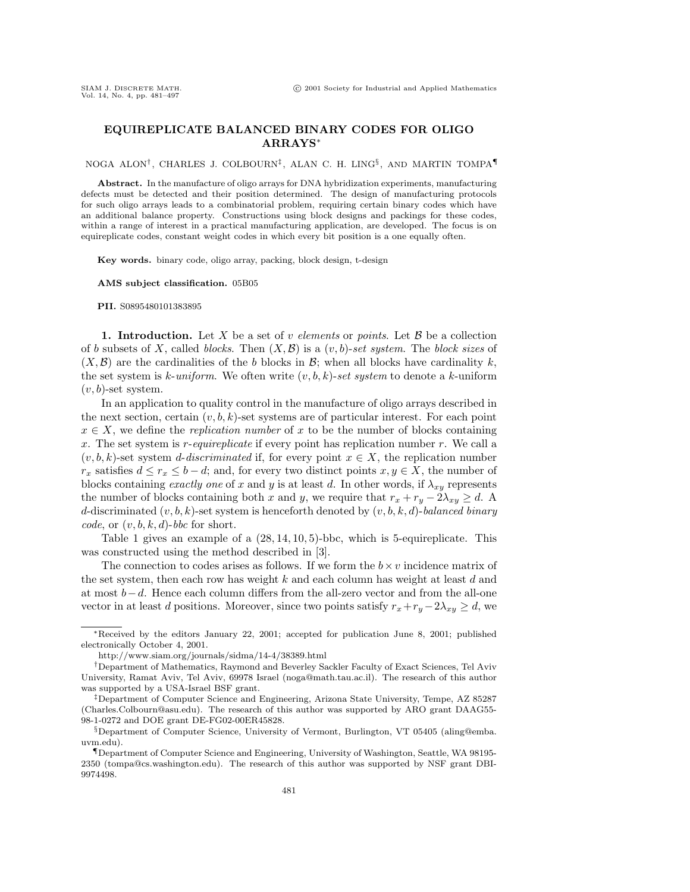## **EQUIREPLICATE BALANCED BINARY CODES FOR OLIGO ARRAYS**<sup>∗</sup>

NOGA ALON†, CHARLES J. COLBOURN‡, ALAN C. H. LING§, AND MARTIN TOMPA¶

**Abstract.** In the manufacture of oligo arrays for DNA hybridization experiments, manufacturing defects must be detected and their position determined. The design of manufacturing protocols for such oligo arrays leads to a combinatorial problem, requiring certain binary codes which have an additional balance property. Constructions using block designs and packings for these codes, within a range of interest in a practical manufacturing application, are developed. The focus is on equireplicate codes, constant weight codes in which every bit position is a one equally often.

**Key words.** binary code, oligo array, packing, block design, t-design

**AMS subject classification.** 05B05

**PII.** S0895480101383895

**1. Introduction.** Let X be a set of v elements or points. Let  $\mathcal{B}$  be a collection of b subsets of X, called blocks. Then  $(X, \mathcal{B})$  is a  $(v, b)$ -set system. The block sizes of  $(X, \mathcal{B})$  are the cardinalities of the b blocks in  $\mathcal{B}$ ; when all blocks have cardinality k, the set system is k-uniform. We often write  $(v, b, k)$ -set system to denote a k-uniform  $(v, b)$ -set system.

In an application to quality control in the manufacture of oligo arrays described in the next section, certain  $(v, b, k)$ -set systems are of particular interest. For each point  $x \in X$ , we define the *replication number* of x to be the number of blocks containing x. The set system is  $r$ -equireplicate if every point has replication number  $r$ . We call a  $(v, b, k)$ -set system *d-discriminated* if, for every point  $x \in X$ , the replication number  $r_x$  satisfies  $d \leq r_x \leq b - d$ ; and, for every two distinct points  $x, y \in X$ , the number of blocks containing exactly one of x and y is at least d. In other words, if  $\lambda_{xy}$  represents the number of blocks containing both x and y, we require that  $r_x + r_y - 2\lambda_{xy} \ge d$ . A d-discriminated  $(v, b, k)$ -set system is henceforth denoted by  $(v, b, k, d)$ -balanced binary code, or  $(v, b, k, d)$ -bbc for short.

Table 1 gives an example of a  $(28, 14, 10, 5)$ -bbc, which is 5-equireplicate. This was constructed using the method described in [3].

The connection to codes arises as follows. If we form the  $b \times v$  incidence matrix of the set system, then each row has weight  $k$  and each column has weight at least  $d$  and at most b−d. Hence each column differs from the all-zero vector and from the all-one vector in at least d positions. Moreover, since two points satisfy  $r_x+r_y-2\lambda_{xy}\geq d$ , we

<sup>∗</sup>Received by the editors January 22, 2001; accepted for publication June 8, 2001; published electronically October 4, 2001.

http://www.siam.org/journals/sidma/14-4/38389.html

<sup>†</sup>Department of Mathematics, Raymond and Beverley Sackler Faculty of Exact Sciences, Tel Aviv University, Ramat Aviv, Tel Aviv, 69978 Israel (noga@math.tau.ac.il). The research of this author was supported by a USA-Israel BSF grant.

<sup>‡</sup>Department of Computer Science and Engineering, Arizona State University, Tempe, AZ 85287 (Charles.Colbourn@asu.edu). The research of this author was supported by ARO grant DAAG55- 98-1-0272 and DOE grant DE-FG02-00ER45828.

<sup>§</sup>Department of Computer Science, University of Vermont, Burlington, VT 05405 (aling@emba. uvm.edu).

<sup>¶</sup>Department of Computer Science and Engineering, University of Washington, Seattle, WA 98195- 2350 (tompa@cs.washington.edu). The research of this author was supported by NSF grant DBI-9974498.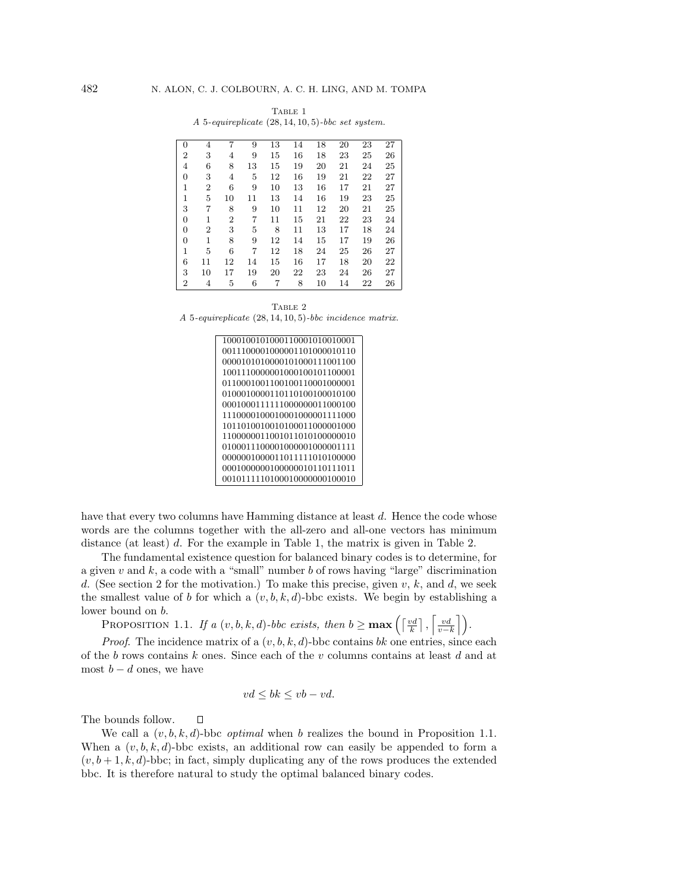| $\Omega$       | 4              | 7              | 9  | 13 | 14 | 18 | 20 | 23 | 27 |
|----------------|----------------|----------------|----|----|----|----|----|----|----|
| $\overline{2}$ | 3              | 4              | 9  | 15 | 16 | 18 | 23 | 25 | 26 |
| 4              | 6              | 8              | 13 | 15 | 19 | 20 | 21 | 24 | 25 |
| 0              | 3              | 4              | 5  | 12 | 16 | 19 | 21 | 22 | 27 |
| $\overline{1}$ | $\overline{2}$ | 6              | 9  | 10 | 13 | 16 | 17 | 21 | 27 |
| $\mathbf{1}$   | 5              | 10             | 11 | 13 | 14 | 16 | 19 | 23 | 25 |
| 3              | 7              | 8              | 9  | 10 | 11 | 12 | 20 | 21 | 25 |
| 0              | 1              | $\overline{2}$ | 7  | 11 | 15 | 21 | 22 | 23 | 24 |
| $\overline{0}$ | $\overline{2}$ | 3              | 5  | 8  | 11 | 13 | 17 | 18 | 24 |
| 0              | $\mathbf 1$    | 8              | 9  | 12 | 14 | 15 | 17 | 19 | 26 |
| $\mathbf{1}$   | 5              | 6              | 7  | 12 | 18 | 24 | 25 | 26 | 27 |
| 6              | 11             | 12             | 14 | 15 | 16 | 17 | 18 | 20 | 22 |
| 3              | 10             | 17             | 19 | 20 | 22 | 23 | 24 | 26 | 27 |
| $\overline{2}$ | 4              | 5              | 6  | 7  | 8  | 10 | 14 | 22 | 26 |

TABLE 1 A 5-equireplicate (28, 14, 10, 5)-bbc set system.

TABLE 2 A 5-equireplicate (28, 14, 10, 5)-bbc incidence matrix.

| 1000100101000110001010010001 |
|------------------------------|
| 0011100001000001101000010110 |
| 0000101010000101000111001100 |
| 1001110000001000100101100001 |
| 0110001001100100110001000001 |
| 0100010000110110100100010100 |
| 0001000111111000000011000100 |
| 1110000100010001000001111000 |
| 1011010010010100011000001000 |
| 1100000011001011010100000010 |
| 0100011100001000001000001111 |
| 0000001000011011111010100000 |
| 0001000000100000010110111011 |
| 0010111110100010000000100010 |
|                              |

have that every two columns have Hamming distance at least d. Hence the code whose words are the columns together with the all-zero and all-one vectors has minimum distance (at least) d. For the example in Table 1, the matrix is given in Table 2.

The fundamental existence question for balanced binary codes is to determine, for a given  $v$  and  $k$ , a code with a "small" number  $b$  of rows having "large" discrimination d. (See section 2 for the motivation.) To make this precise, given  $v, k$ , and  $d$ , we seek the smallest value of b for which a  $(v, b, k, d)$ -bbc exists. We begin by establishing a lower bound on b.

**PROPOSITION 1.1.** If a  $(v, b, k, d)$ -bbc exists, then  $b \ge \max\left(\left\lceil \frac{vd}{k} \right\rceil, \left\lceil \frac{vd}{v-1} \right\rceil \right)$  $\frac{vd}{v-k}\bigg]\bigg).$ 

*Proof.* The incidence matrix of a  $(v, b, k, d)$ -bbc contains bk one entries, since each of the b rows contains k ones. Since each of the v columns contains at least d and at most  $b - d$  ones, we have

$$
vd \le bk \le vb-vd.
$$

The bounds follow.  $\Box$ 

We call a  $(v, b, k, d)$ -bbc *optimal* when b realizes the bound in Proposition 1.1. When a  $(v, b, k, d)$ -bbc exists, an additional row can easily be appended to form a  $(v, b + 1, k, d)$ -bbc; in fact, simply duplicating any of the rows produces the extended bbc. It is therefore natural to study the optimal balanced binary codes.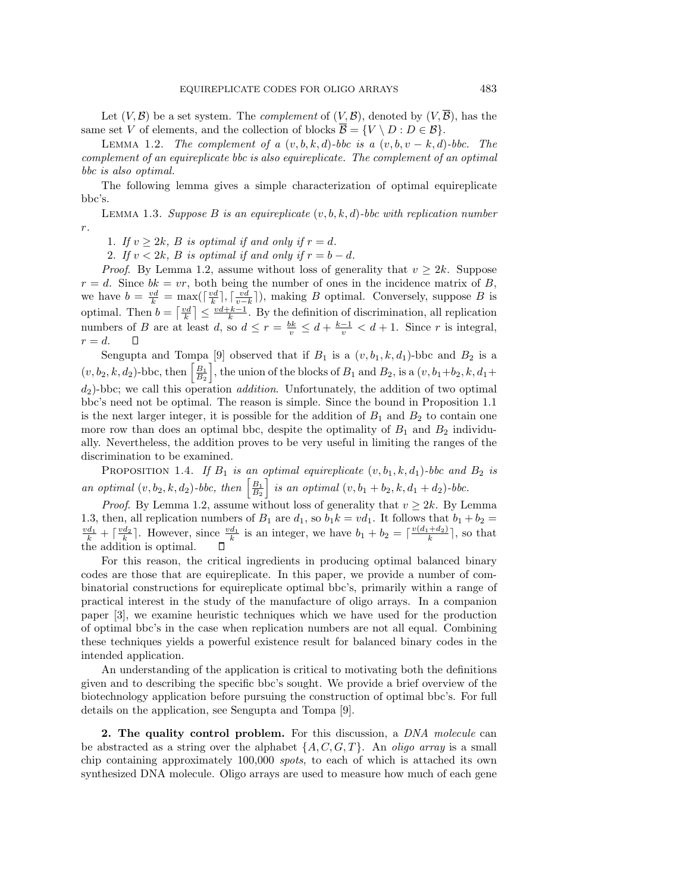Let  $(V, \mathcal{B})$  be a set system. The *complement* of  $(V, \mathcal{B})$ , denoted by  $(V, \mathcal{B})$ , has the same set V of elements, and the collection of blocks  $\overline{\mathcal{B}} = \{V \setminus D : D \in \mathcal{B}\}.$ 

LEMMA 1.2. The complement of a  $(v, b, k, d)$ -bbc is a  $(v, b, v - k, d)$ -bbc. The complement of an equireplicate bbc is also equireplicate. The complement of an optimal bbc is also optimal.

The following lemma gives a simple characterization of optimal equireplicate bbc's.

LEMMA 1.3. Suppose B is an equireplicate  $(v, b, k, d)$ -bbc with replication number r.

1. If  $v \geq 2k$ , B is optimal if and only if  $r = d$ .

2. If  $v < 2k$ , B is optimal if and only if  $r = b - d$ .

*Proof.* By Lemma 1.2, assume without loss of generality that  $v \geq 2k$ . Suppose  $r = d$ . Since  $bk = vr$ , both being the number of ones in the incidence matrix of B, we have  $b = \frac{vd}{k} = \max(\lceil \frac{vd}{k} \rceil, \lceil \frac{vd}{v-k} \rceil)$ , making B optimal. Conversely, suppose B is optimal. Then  $b = \lceil \frac{vd}{k} \rceil \leq \frac{vd+k-1}{k}$ . By the definition of discrimination, all replication numbers of B are at least d, so  $d \leq r = \frac{bk}{v} \leq d + \frac{k-1}{v} < d + 1$ . Since r is integral,  $r = d$ .  $\Box$ 

Sengupta and Tompa [9] observed that if  $B_1$  is a  $(v, b_1, k, d_1)$ -bbc and  $B_2$  is a  $(v, b_2, k, d_2)$ -bbc, then  $\left[\frac{B_1}{B_2}\right]$ , the union of the blocks of  $B_1$  and  $B_2$ , is a  $(v, b_1+b_2, k, d_1+b_2)$  $d_2$ )-bbc; we call this operation *addition*. Unfortunately, the addition of two optimal bbc's need not be optimal. The reason is simple. Since the bound in Proposition 1.1 is the next larger integer, it is possible for the addition of  $B_1$  and  $B_2$  to contain one more row than does an optimal bbc, despite the optimality of  $B_1$  and  $B_2$  individually. Nevertheless, the addition proves to be very useful in limiting the ranges of the discrimination to be examined.

PROPOSITION 1.4. If  $B_1$  is an optimal equireplicate  $(v, b_1, k, d_1)$ -bbc and  $B_2$  is an optimal  $(v, b_2, k, d_2)$ -bbc, then  $\left[\frac{B_1}{B_2}\right]$  is an optimal  $(v, b_1 + b_2, k, d_1 + d_2)$ -bbc.

*Proof.* By Lemma 1.2, assume without loss of generality that  $v \geq 2k$ . By Lemma 1.3, then, all replication numbers of  $B_1$  are  $d_1$ , so  $b_1k = v d_1$ . It follows that  $b_1 + b_2 =$  $\frac{vd_1}{k} + \lceil \frac{vd_2}{k} \rceil$ . However, since  $\frac{vd_1}{k}$  is an integer, we have  $b_1 + b_2 = \lceil \frac{v(d_1 + d_2)}{k} \rceil$ , so that the addition is optimal.

For this reason, the critical ingredients in producing optimal balanced binary codes are those that are equireplicate. In this paper, we provide a number of combinatorial constructions for equireplicate optimal bbc's, primarily within a range of practical interest in the study of the manufacture of oligo arrays. In a companion paper [3], we examine heuristic techniques which we have used for the production of optimal bbc's in the case when replication numbers are not all equal. Combining these techniques yields a powerful existence result for balanced binary codes in the intended application.

An understanding of the application is critical to motivating both the definitions given and to describing the specific bbc's sought. We provide a brief overview of the biotechnology application before pursuing the construction of optimal bbc's. For full details on the application, see Sengupta and Tompa [9].

**2. The quality control problem.** For this discussion, a DNA molecule can be abstracted as a string over the alphabet  $\{A, C, G, T\}$ . An *oligo array* is a small chip containing approximately 100,000 spots, to each of which is attached its own synthesized DNA molecule. Oligo arrays are used to measure how much of each gene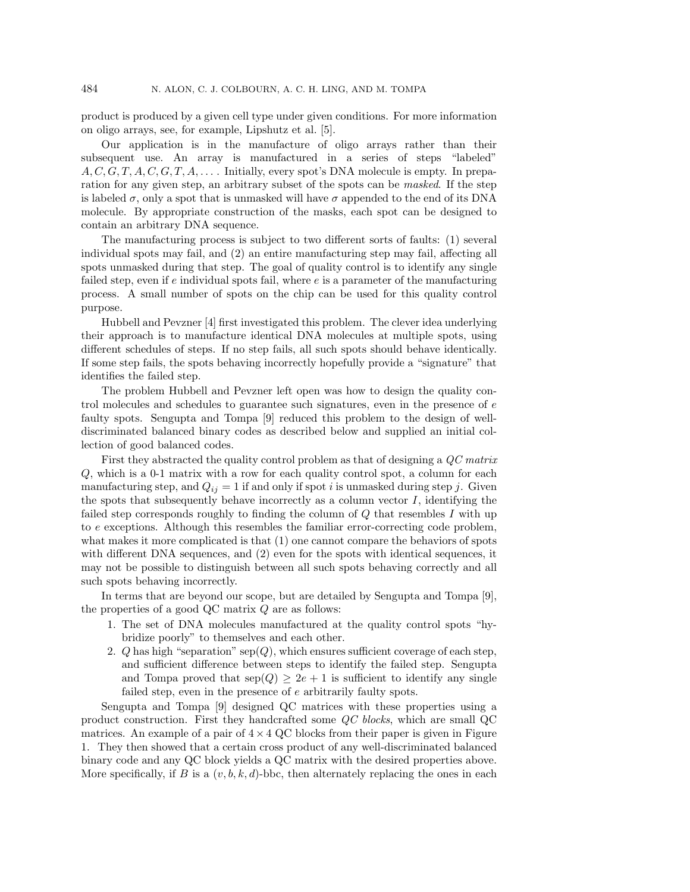product is produced by a given cell type under given conditions. For more information on oligo arrays, see, for example, Lipshutz et al. [5].

Our application is in the manufacture of oligo arrays rather than their subsequent use. An array is manufactured in a series of steps "labeled"  $A, C, G, T, A, C, G, T, A, \ldots$ . Initially, every spot's DNA molecule is empty. In preparation for any given step, an arbitrary subset of the spots can be *masked*. If the step is labeled  $\sigma$ , only a spot that is unmasked will have  $\sigma$  appended to the end of its DNA molecule. By appropriate construction of the masks, each spot can be designed to contain an arbitrary DNA sequence.

The manufacturing process is subject to two different sorts of faults: (1) several individual spots may fail, and (2) an entire manufacturing step may fail, affecting all spots unmasked during that step. The goal of quality control is to identify any single failed step, even if  $e$  individual spots fail, where  $e$  is a parameter of the manufacturing process. A small number of spots on the chip can be used for this quality control purpose.

Hubbell and Pevzner [4] first investigated this problem. The clever idea underlying their approach is to manufacture identical DNA molecules at multiple spots, using different schedules of steps. If no step fails, all such spots should behave identically. If some step fails, the spots behaving incorrectly hopefully provide a "signature" that identifies the failed step.

The problem Hubbell and Pevzner left open was how to design the quality control molecules and schedules to guarantee such signatures, even in the presence of e faulty spots. Sengupta and Tompa [9] reduced this problem to the design of welldiscriminated balanced binary codes as described below and supplied an initial collection of good balanced codes.

First they abstracted the quality control problem as that of designing a QC matrix Q, which is a 0-1 matrix with a row for each quality control spot, a column for each manufacturing step, and  $Q_{ij} = 1$  if and only if spot i is unmasked during step j. Given the spots that subsequently behave incorrectly as a column vector  $I$ , identifying the failed step corresponds roughly to finding the column of Q that resembles I with up to e exceptions. Although this resembles the familiar error-correcting code problem, what makes it more complicated is that (1) one cannot compare the behaviors of spots with different DNA sequences, and  $(2)$  even for the spots with identical sequences, it may not be possible to distinguish between all such spots behaving correctly and all such spots behaving incorrectly.

In terms that are beyond our scope, but are detailed by Sengupta and Tompa [9], the properties of a good QC matrix Q are as follows:

- 1. The set of DNA molecules manufactured at the quality control spots "hybridize poorly" to themselves and each other.
- 2. Q has high "separation" sep( $Q$ ), which ensures sufficient coverage of each step, and sufficient difference between steps to identify the failed step. Sengupta and Tompa proved that  $\text{sep}(Q) \geq 2e + 1$  is sufficient to identify any single failed step, even in the presence of e arbitrarily faulty spots.

Sengupta and Tompa [9] designed QC matrices with these properties using a product construction. First they handcrafted some QC blocks, which are small QC matrices. An example of a pair of  $4 \times 4$  QC blocks from their paper is given in Figure 1. They then showed that a certain cross product of any well-discriminated balanced binary code and any QC block yields a QC matrix with the desired properties above. More specifically, if B is a  $(v, b, k, d)$ -bbc, then alternately replacing the ones in each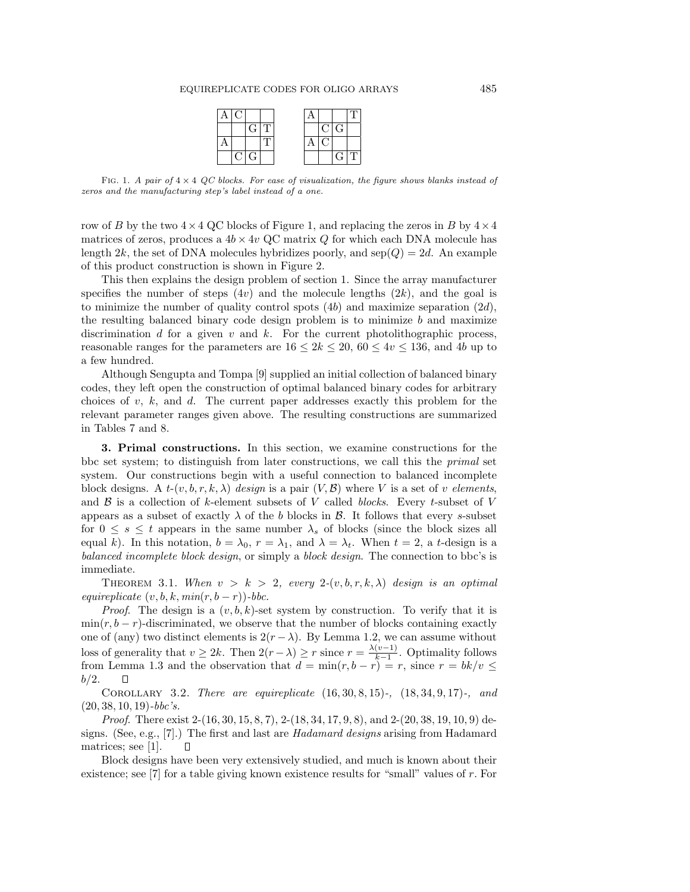| AIC |     |  |    |                              |    |
|-----|-----|--|----|------------------------------|----|
|     | GTT |  |    | ClG                          |    |
|     |     |  | O. |                              |    |
|     | C G |  |    | $\left( \frac{1}{2} \right)$ | ΤГ |

FIG. 1. A pair of  $4 \times 4$  QC blocks. For ease of visualization, the figure shows blanks instead of zeros and the manufacturing step's label instead of a one.

row of B by the two  $4 \times 4$  QC blocks of Figure 1, and replacing the zeros in B by  $4 \times 4$ matrices of zeros, produces a  $4b \times 4v$  QC matrix Q for which each DNA molecule has length 2k, the set of DNA molecules hybridizes poorly, and  $\text{sep}(Q)=2d$ . An example of this product construction is shown in Figure 2.

This then explains the design problem of section 1. Since the array manufacturer specifies the number of steps  $(4v)$  and the molecule lengths  $(2k)$ , and the goal is to minimize the number of quality control spots  $(4b)$  and maximize separation  $(2d)$ , the resulting balanced binary code design problem is to minimize  $b$  and maximize discrimination  $d$  for a given  $v$  and  $k$ . For the current photolithographic process, reasonable ranges for the parameters are  $16 \leq 2k \leq 20$ ,  $60 \leq 4v \leq 136$ , and 4b up to a few hundred.

Although Sengupta and Tompa [9] supplied an initial collection of balanced binary codes, they left open the construction of optimal balanced binary codes for arbitrary choices of v, k, and d. The current paper addresses exactly this problem for the relevant parameter ranges given above. The resulting constructions are summarized in Tables 7 and 8.

**3. Primal constructions.** In this section, we examine constructions for the bbc set system; to distinguish from later constructions, we call this the primal set system. Our constructions begin with a useful connection to balanced incomplete block designs. A  $t-(v, b, r, k, \lambda)$  design is a pair  $(V, \mathcal{B})$  where V is a set of v elements, and  $\beta$  is a collection of k-element subsets of V called blocks. Every t-subset of V appears as a subset of exactly  $\lambda$  of the b blocks in  $\beta$ . It follows that every s-subset for  $0 \leq s \leq t$  appears in the same number  $\lambda_s$  of blocks (since the block sizes all equal k). In this notation,  $b = \lambda_0$ ,  $r = \lambda_1$ , and  $\lambda = \lambda_t$ . When  $t = 2$ , a t-design is a balanced incomplete block design, or simply a block design. The connection to bbc's is immediate.

THEOREM 3.1. When  $v > k > 2$ , every  $2-(v, b, r, k, \lambda)$  design is an optimal equireplicate  $(v, b, k, min(r, b - r))$ -bbc.

*Proof.* The design is a  $(v, b, k)$ -set system by construction. To verify that it is  $\min(r, b - r)$ -discriminated, we observe that the number of blocks containing exactly one of (any) two distinct elements is  $2(r - \lambda)$ . By Lemma 1.2, we can assume without loss of generality that  $v \ge 2k$ . Then  $2(r - \lambda) \ge r$  since  $r = \frac{\lambda(v-1)}{k-1}$ . Optimality follows from Lemma 1.3 and the observation that  $d = \min(r, b - r) = r$ , since  $r = bk/v \le$  $b/2$ .  $\Box$ 

COROLLARY 3.2. There are equireplicate  $(16, 30, 8, 15)$ -,  $(18, 34, 9, 17)$ -, and  $(20, 38, 10, 19)$ -bbc's.

Proof. There exist 2-(16, 30, 15, 8, 7), 2-(18, 34, 17, 9, 8), and 2-(20, 38, 19, 10, 9) designs. (See, e.g., [7].) The first and last are *Hadamard designs* arising from Hadamard matrices; see [1].  $\Box$ 

Block designs have been very extensively studied, and much is known about their existence; see [7] for a table giving known existence results for "small" values of r. For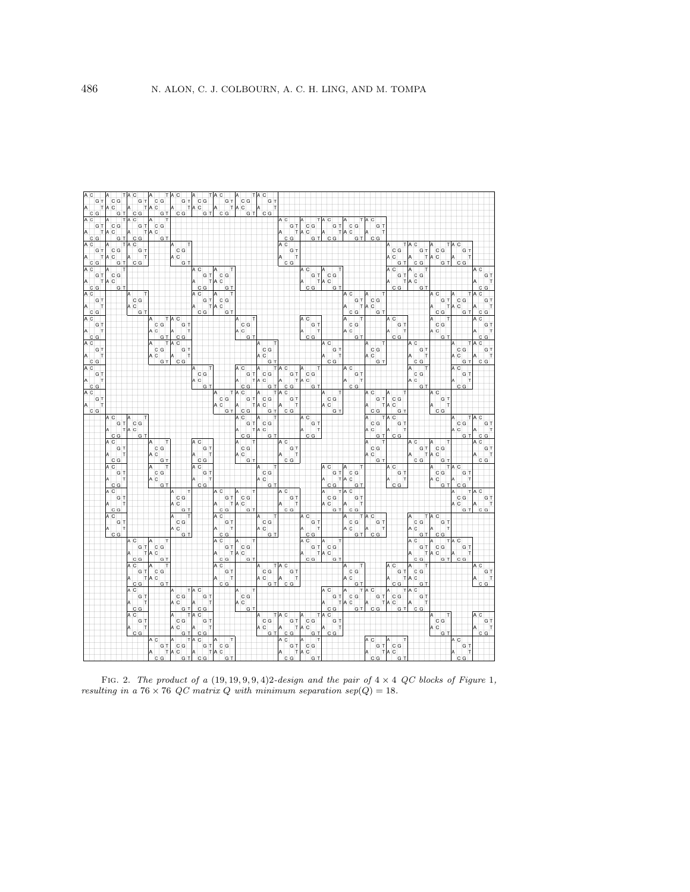| $\Bigg $ G<br>F<br>A                                                  |   | $\frac{a}{a}$<br>$\frac{c}{c}$                          |                      |                    | $\frac{1}{T}$              |                | $\frac{c}{c}$<br>G<br>G                                |     |                                      |                                                                       |                                  |                                                                            |                    |   |               |                                                          |   | c                                                                       |                 |                |               |                                                                                                                                   | $\frac{1}{T}$  |                                                               |           |               |                  |                    |                   |                                                                                                                                                                                                                                                                                                                                              |                                                        |       |     |                  |                               |                                                                                                        |                                                                   |                 |                                                                                                   |               |                      |                      |                            |                               |               |                         |                    |     |                                        |  |
|-----------------------------------------------------------------------|---|---------------------------------------------------------|----------------------|--------------------|----------------------------|----------------|--------------------------------------------------------|-----|--------------------------------------|-----------------------------------------------------------------------|----------------------------------|----------------------------------------------------------------------------|--------------------|---|---------------|----------------------------------------------------------|---|-------------------------------------------------------------------------|-----------------|----------------|---------------|-----------------------------------------------------------------------------------------------------------------------------------|----------------|---------------------------------------------------------------|-----------|---------------|------------------|--------------------|-------------------|----------------------------------------------------------------------------------------------------------------------------------------------------------------------------------------------------------------------------------------------------------------------------------------------------------------------------------------------|--------------------------------------------------------|-------|-----|------------------|-------------------------------|--------------------------------------------------------------------------------------------------------|-------------------------------------------------------------------|-----------------|---------------------------------------------------------------------------------------------------|---------------|----------------------|----------------------|----------------------------|-------------------------------|---------------|-------------------------|--------------------|-----|----------------------------------------|--|
| $\frac{\sqrt{\frac{1}{10}}}{\sqrt{\frac{1}{10}}\sqrt{\frac{1}{10}}}}$ |   |                                                         |                      | A                  |                            | A              |                                                        |     |                                      |                                                                       |                                  |                                                                            |                    |   |               |                                                          |   |                                                                         |                 |                |               |                                                                                                                                   |                |                                                               |           |               |                  |                    |                   |                                                                                                                                                                                                                                                                                                                                              |                                                        |       |     |                  |                               |                                                                                                        |                                                                   |                 |                                                                                                   |               |                      |                      |                            |                               |               |                         |                    |     |                                        |  |
|                                                                       |   |                                                         |                      |                    |                            |                |                                                        |     |                                      |                                                                       |                                  |                                                                            |                    |   |               |                                                          |   |                                                                         |                 |                |               |                                                                                                                                   |                |                                                               |           |               |                  |                    |                   |                                                                                                                                                                                                                                                                                                                                              |                                                        |       |     |                  |                               |                                                                                                        |                                                                   |                 |                                                                                                   |               |                      |                      |                            |                               |               |                         |                    |     |                                        |  |
| $\vert$ G<br> T<br> T                                                 |   |                                                         |                      | $\frac{A}{A}$      | $\vert$ G<br>T<br>T        |                |                                                        |     |                                      |                                                                       |                                  |                                                                            |                    |   |               |                                                          |   |                                                                         |                 |                |               |                                                                                                                                   |                |                                                               |           |               |                  | $\frac{c}{c}$<br>G |                   |                                                                                                                                                                                                                                                                                                                                              |                                                        |       |     | GT CG<br>TAC     |                               | G                                                                                                      |                                                                   |                 |                                                                                                   |               |                      |                      |                            |                               |               |                         |                    |     |                                        |  |
| $\frac{1}{\sqrt{\frac{1}{\sqrt{1}}}}$                                 |   | $\begin{bmatrix} 1 & 1 \\ 1 & 1 \\ 1 & 1 \end{bmatrix}$ |                      |                    | lG                         |                | $rac{c}{c}$                                            |     |                                      |                                                                       |                                  |                                                                            |                    |   |               |                                                          |   |                                                                         |                 |                |               |                                                                                                                                   |                |                                                               |           |               |                  |                    |                   |                                                                                                                                                                                                                                                                                                                                              |                                                        |       |     |                  | A                             | lc la                                                                                                  |                                                                   |                 |                                                                                                   |               |                      |                      |                            |                               |               |                         |                    |     |                                        |  |
|                                                                       |   |                                                         |                      |                    |                            |                |                                                        |     |                                      |                                                                       |                                  |                                                                            |                    |   |               |                                                          |   |                                                                         |                 |                |               |                                                                                                                                   |                | C                                                             |           |               |                  |                    |                   |                                                                                                                                                                                                                                                                                                                                              |                                                        |       |     |                  |                               |                                                                                                        |                                                                   |                 |                                                                                                   |               |                      |                      |                            |                               |               | A                       |                    |     |                                        |  |
| $\vert$ G<br> T<br> T                                                 |   | $\frac{1}{2}$                                           |                      | $\int_A^A$         | $\vert$ G                  |                |                                                        |     | $A$ <sub>C</sub><br>$A$ <sub>C</sub> | G                                                                     |                                  |                                                                            |                    |   |               |                                                          |   |                                                                         |                 |                |               |                                                                                                                                   |                |                                                               | G         |               |                  |                    |                   |                                                                                                                                                                                                                                                                                                                                              |                                                        |       |     |                  |                               |                                                                                                        |                                                                   | c<br>c          |                                                                                                   | $\frac{A}{A}$ |                      | $\frac{1}{T}$        | $A$ C<br>A C               | G                             |               |                         |                    |     |                                        |  |
| lc la                                                                 | A | $\frac{1}{6}$                                           |                      |                    | lG.                        |                |                                                        |     |                                      |                                                                       |                                  |                                                                            |                    |   |               |                                                          |   |                                                                         |                 |                |               |                                                                                                                                   |                |                                                               |           |               |                  |                    |                   |                                                                                                                                                                                                                                                                                                                                              |                                                        |       |     |                  |                               |                                                                                                        |                                                                   |                 | $\frac{a}{a}$                                                                                     |               | ັດ<br>co             |                      |                            |                               |               |                         |                    |     |                                        |  |
| A C                                                                   |   |                                                         |                      |                    |                            |                |                                                        |     |                                      |                                                                       |                                  |                                                                            |                    |   |               |                                                          |   |                                                                         |                 |                |               |                                                                                                                                   |                |                                                               |           |               |                  |                    |                   |                                                                                                                                                                                                                                                                                                                                              |                                                        |       |     |                  |                               |                                                                                                        |                                                                   | c               |                                                                                                   |               |                      |                      |                            |                               |               |                         |                    |     |                                        |  |
| G <br> T<br> T                                                        |   | G<br>$\frac{1}{2}$                                      |                      |                    |                            |                |                                                        |     |                                      |                                                                       |                                  |                                                                            |                    |   | c<br> c       | G                                                        |   |                                                                         |                 |                |               |                                                                                                                                   |                |                                                               |           |               |                  | G                  |                   |                                                                                                                                                                                                                                                                                                                                              |                                                        | G     |     |                  |                               |                                                                                                        |                                                                   |                 | $\vert$ G                                                                                         |               | $\frac{c}{c}$        |                      |                            |                               |               |                         |                    |     |                                        |  |
| $ c _G$                                                               | A |                                                         | G T                  |                    |                            |                |                                                        |     |                                      |                                                                       |                                  |                                                                            |                    |   |               | G T                                                      |   |                                                                         |                 |                |               |                                                                                                                                   |                |                                                               |           |               |                  | c<br>G             |                   | A C                                                                                                                                                                                                                                                                                                                                          |                                                        | G T   |     |                  |                               |                                                                                                        |                                                                   | c G             |                                                                                                   | A             |                      | lg  T                |                            |                               |               |                         |                    |     |                                        |  |
| $A$ $C$                                                               |   |                                                         |                      | A                  |                            |                |                                                        |     |                                      |                                                                       |                                  |                                                                            |                    |   |               | ا آ<br>ا                                                 |   |                                                                         |                 |                |               |                                                                                                                                   |                |                                                               |           |               |                  |                    |                   |                                                                                                                                                                                                                                                                                                                                              |                                                        |       |     |                  |                               |                                                                                                        |                                                                   |                 |                                                                                                   |               |                      |                      |                            |                               |               |                         |                    |     |                                        |  |
| $\frac{G}{T}$                                                         |   |                                                         |                      | $\frac{1}{2}$      | G                          |                |                                                        |     |                                      |                                                                       |                                  |                                                                            |                    |   | $\frac{1}{2}$ |                                                          |   |                                                                         |                 |                |               |                                                                                                                                   |                |                                                               |           |               |                  |                    |                   |                                                                                                                                                                                                                                                                                                                                              |                                                        |       |     | $\overline{G}$ T | $\frac{1}{2}$                 | G                                                                                                      |                                                                   |                 |                                                                                                   |               |                      |                      |                            | G                             |               |                         | G                  |     | G T                                    |  |
| G                                                                     |   |                                                         |                      | A                  | lG.                        |                |                                                        |     |                                      |                                                                       |                                  |                                                                            |                    |   |               | lg <mark> </mark> T                                      |   |                                                                         |                 |                |               |                                                                                                                                   |                |                                                               |           |               |                  |                    |                   |                                                                                                                                                                                                                                                                                                                                              |                                                        |       |     |                  | A                             |                                                                                                        |                                                                   |                 |                                                                                                   |               |                      |                      | $\frac{AC}{A}$             | $\vert_{\rm c}$<br>G          | $\frac{1}{T}$ | $A$ C<br>$A$ C          |                    |     |                                        |  |
| $\frac{1}{\sqrt{2}}$                                                  |   |                                                         |                      |                    |                            |                |                                                        |     | $T\overline{A}C$                     |                                                                       |                                  |                                                                            |                    |   |               |                                                          |   |                                                                         |                 |                |               |                                                                                                                                   |                |                                                               |           |               |                  |                    |                   |                                                                                                                                                                                                                                                                                                                                              |                                                        |       |     |                  |                               |                                                                                                        | A                                                                 | $\vert c \vert$ |                                                                                                   |               |                      |                      |                            |                               |               |                         |                    |     |                                        |  |
| $\frac{1}{T}$                                                         |   |                                                         |                      |                    |                            |                | $\frac{1}{\sqrt{2}}$                                   |     |                                      | $rac{1}{T}$                                                           |                                  |                                                                            |                    |   |               |                                                          |   | c<br> c                                                                 | G               |                |               |                                                                                                                                   |                |                                                               |           |               |                  | G                  |                   |                                                                                                                                                                                                                                                                                                                                              |                                                        |       |     | c G              |                               |                                                                                                        |                                                                   |                 | G<br>T<br>T                                                                                       |               |                      |                      | $\overline{A}$             | $\Big _c^c$<br>G              |               |                         |                    |     | G 1                                    |  |
| $\begin{array}{c}\n\hline c\overline{c} \\ \hline\n\end{array}$       |   |                                                         |                      |                    |                            | $\overline{A}$ | G<br>G                                                 |     |                                      | G                                                                     |                                  |                                                                            |                    |   |               |                                                          |   |                                                                         |                 |                |               |                                                                                                                                   |                |                                                               |           |               |                  | c<br>G             |                   |                                                                                                                                                                                                                                                                                                                                              |                                                        |       | A   |                  |                               |                                                                                                        | A                                                                 | c               | <b>G</b>                                                                                          |               |                      |                      | Ā                          |                               | G T           |                         |                    |     | G                                      |  |
|                                                                       |   |                                                         |                      |                    |                            |                |                                                        |     | A<br>T<br>T<br>A<br>A<br>A<br>A<br>C |                                                                       |                                  |                                                                            |                    |   |               |                                                          |   |                                                                         | G               |                |               |                                                                                                                                   | T              |                                                               |           |               |                  |                    |                   | A C                                                                                                                                                                                                                                                                                                                                          |                                                        |       |     |                  |                               |                                                                                                        |                                                                   |                 |                                                                                                   |               |                      |                      |                            |                               |               |                         |                    | A C |                                        |  |
| $\begin{array}{c} G_T \\ T \end{array}$                               |   |                                                         |                      |                    |                            | $\overline{a}$ | $\begin{array}{c} \circ \\ \circ \\ \circ \end{array}$ |     |                                      | $\begin{array}{c} \frac{\infty}{1} \\ \hline \frac{1}{1} \end{array}$ |                                  |                                                                            |                    |   |               |                                                          |   |                                                                         |                 |                | $\frac{c}{c}$ | G                                                                                                                                 |                |                                                               |           |               |                  |                    |                   |                                                                                                                                                                                                                                                                                                                                              |                                                        | $G_T$ |     |                  |                               | $\begin{array}{c}\n\begin{array}{c}\n\downarrow \\ \downarrow \\ \downarrow\n\end{array}\n\end{array}$ |                                                                   |                 |                                                                                                   |               | $A$ C<br>$A$ C       | G<br>$\frac{1}{T}$   |                            |                               |               |                         |                    |     | $\begin{bmatrix} 6 \\ 1 \end{bmatrix}$ |  |
| $\begin{array}{c c}\n & c & c \\ \hline\n\end{array}$                 |   |                                                         |                      |                    |                            | A              |                                                        |     |                                      |                                                                       |                                  |                                                                            |                    |   |               |                                                          |   |                                                                         |                 | A              |               |                                                                                                                                   | T              |                                                               |           |               |                  |                    |                   | $\begin{picture}(180,10) \put(0,0){\line(1,0){150}} \put(15,0){\line(1,0){150}} \put(15,0){\line(1,0){150}} \put(15,0){\line(1,0){150}} \put(15,0){\line(1,0){150}} \put(15,0){\line(1,0){150}} \put(15,0){\line(1,0){150}} \put(15,0){\line(1,0){150}} \put(15,0){\line(1,0){150}} \put(15,0){\line(1,0){150}} \put(15,0){\line(1,0){150}}$ |                                                        |       |     |                  |                               | $ _{G} _{T}$                                                                                           |                                                                   |                 |                                                                                                   |               | c G                  |                      |                            |                               |               |                         |                    |     |                                        |  |
|                                                                       |   |                                                         |                      |                    |                            |                |                                                        |     |                                      | $\mathsf{G}$                                                          |                                  |                                                                            |                    |   |               |                                                          |   | c                                                                       |                 |                |               | $\frac{1}{6}$                                                                                                                     |                | A                                                             |           |               |                  |                    |                   |                                                                                                                                                                                                                                                                                                                                              |                                                        | G     | A C |                  |                               |                                                                                                        |                                                                   |                 |                                                                                                   | A             |                      |                      |                            |                               |               |                         |                    |     | c G                                    |  |
| $\frac{G}{T}$                                                         |   |                                                         |                      |                    |                            |                |                                                        |     |                                      |                                                                       |                                  | $\left  \begin{smallmatrix} & & c & c \ & c & c \end{smallmatrix} \right $ |                    |   |               |                                                          |   |                                                                         | $\vert$ a       | $\frac{1}{T}$  |               |                                                                                                                                   |                |                                                               | $\vert$ G | $\frac{1}{T}$ |                  |                    |                   |                                                                                                                                                                                                                                                                                                                                              |                                                        |       |     | G                |                               |                                                                                                        |                                                                   |                 |                                                                                                   |               | $\frac{1}{\sqrt{2}}$ | $\overline{r}$<br> G |                            |                               |               | $A \circ A$             | $rac{1}{T}$        |     |                                        |  |
| $\frac{1}{\sqrt{\frac{1}{\sqrt{1-\frac{1}{\sqrt{1}}}}}}$              |   |                                                         |                      |                    |                            |                |                                                        |     |                                      |                                                                       |                                  |                                                                            |                    |   |               |                                                          |   |                                                                         | lG              |                |               |                                                                                                                                   |                | $\overline{A}$<br>$\vert_{\rm c}$                             | lG        |               | $\frac{a}{a}$ ca |                    | lg <mark>⊤</mark> |                                                                                                                                                                                                                                                                                                                                              |                                                        |       | A   | c G              |                               |                                                                                                        |                                                                   |                 |                                                                                                   | A             |                      | G                    |                            |                               |               |                         | Ċ                  |     |                                        |  |
|                                                                       |   |                                                         |                      |                    |                            |                |                                                        |     |                                      |                                                                       |                                  |                                                                            |                    |   |               |                                                          |   | $\frac{c}{c}$                                                           |                 |                |               |                                                                                                                                   |                |                                                               |           |               |                  |                    |                   |                                                                                                                                                                                                                                                                                                                                              |                                                        |       |     |                  |                               |                                                                                                        |                                                                   |                 |                                                                                                   |               |                      |                      |                            |                               |               |                         |                    |     |                                        |  |
| $\frac{1}{T}$                                                         |   |                                                         |                      |                    |                            |                |                                                        |     |                                      |                                                                       |                                  |                                                                            |                    |   |               | G                                                        |   |                                                                         | $\frac{G}{T}$   | A              |               | $\begin{array}{c}\n\cdot & \cdot & \cdot \\ \cdot & \cdot & \cdot \\ \cdot & \cdot & \cdot \\ \cdot & \cdot & \cdot\n\end{array}$ |                |                                                               | G         |               |                  |                    |                   |                                                                                                                                                                                                                                                                                                                                              | c G                                                    |       |     |                  |                               |                                                                                                        | $\begin{array}{ c c }\n\hline\nG & T & A \\ \hline\n\end{array}$  |                 | $\begin{bmatrix} 1 & 1 \\ 1 & 1 \\ 1 & 1 \end{bmatrix}$                                           |               |                      |                      |                            |                               | $rac{1}{T}$   |                         |                    |     |                                        |  |
| $ c $ G $ $                                                           |   |                                                         |                      |                    |                            |                |                                                        |     |                                      |                                                                       |                                  |                                                                            |                    |   |               |                                                          |   |                                                                         |                 |                |               |                                                                                                                                   |                | $\mid_{\text{c}}$                                             |           |               |                  |                    |                   | A C                                                                                                                                                                                                                                                                                                                                          |                                                        |       |     |                  |                               |                                                                                                        |                                                                   |                 |                                                                                                   |               |                      |                      | A                          | c                             |               |                         |                    |     |                                        |  |
|                                                                       |   |                                                         |                      |                    |                            |                |                                                        |     |                                      |                                                                       |                                  |                                                                            |                    |   |               |                                                          |   | c<br>Iс                                                                 | G               | A              |               |                                                                                                                                   |                |                                                               |           |               |                  |                    |                   |                                                                                                                                                                                                                                                                                                                                              |                                                        | G ∣T  |     |                  |                               | c a                                                                                                    |                                                                   |                 |                                                                                                   |               |                      |                      |                            |                               |               |                         |                    |     |                                        |  |
|                                                                       |   | $\Big $ G                                               |                      |                    | ļG.                        |                |                                                        |     |                                      |                                                                       |                                  |                                                                            |                    |   |               |                                                          |   |                                                                         | $\frac{G}{T}$   |                |               | $\Big $ G                                                                                                                         | $\overline{1}$ |                                                               |           |               |                  |                    | $\frac{G}{T}$     |                                                                                                                                                                                                                                                                                                                                              |                                                        |       |     |                  | $ _{\mathrm{c}}^{\mathrm{c}}$ | ļG.                                                                                                    |                                                                   |                 | $\begin{array}{ c } \hline \mathbf{G} & \mathbf{T} \\ \hline \mathbf{T} & \mathbf{T} \end{array}$ |               |                      |                      |                            |                               |               |                         | $\mathbf{G}$       |     | G  1                                   |  |
|                                                                       | A |                                                         |                      | $\frac{c}{c}$<br>A |                            |                |                                                        |     |                                      |                                                                       |                                  |                                                                            |                    |   |               |                                                          |   |                                                                         |                 | $\overline{a}$ | $\frac{c}{c}$ |                                                                                                                                   |                |                                                               |           |               |                  |                    |                   |                                                                                                                                                                                                                                                                                                                                              |                                                        |       |     |                  |                               |                                                                                                        | $\frac{\log\left \mathbf{r}\right }{\log\left \mathbf{r}\right }$ |                 |                                                                                                   |               |                      |                      |                            |                               |               | $\overline{A}$          | $\frac{c}{c}$      |     |                                        |  |
|                                                                       | A | c   G<br>lc                                             |                      |                    |                            |                |                                                        |     |                                      |                                                                       |                                  |                                                                            |                    |   |               |                                                          |   |                                                                         | c   G           |                |               | GТ                                                                                                                                |                |                                                               |           |               |                  |                    |                   |                                                                                                                                                                                                                                                                                                                                              |                                                        |       |     |                  |                               |                                                                                                        |                                                                   |                 | G                                                                                                 |               | C                    |                      |                            |                               |               |                         |                    |     |                                        |  |
|                                                                       |   |                                                         | $\frac{1}{\sqrt{1}}$ |                    |                            |                | ¢<br>G                                                 |     |                                      |                                                                       |                                  |                                                                            | G  T               |   |               |                                                          |   |                                                                         |                 |                |               |                                                                                                                                   |                |                                                               | G         |               |                  |                    |                   |                                                                                                                                                                                                                                                                                                                                              |                                                        |       |     |                  |                               | c G                                                                                                    |                                                                   |                 |                                                                                                   |               |                      |                      |                            | G                             |               |                         |                    |     | $\frac{G}{T}$                          |  |
|                                                                       |   | lG                                                      |                      |                    |                            |                | c                                                      |     |                                      |                                                                       |                                  |                                                                            | lG                 |   |               |                                                          |   | $\begin{array}{c} \begin{array}{c} c \\ c \\ c \end{array} \end{array}$ |                 |                |               |                                                                                                                                   |                | $\begin{bmatrix} 1 & 1 \\ 1 & 1 \\ 1 & 1 \end{bmatrix}$<br>lc |           |               |                  |                    |                   |                                                                                                                                                                                                                                                                                                                                              |                                                        |       |     |                  |                               |                                                                                                        |                                                                   |                 |                                                                                                   | A             | $\frac{8}{10}$ o T   |                      | $A\overset{\mathbb{C}}{a}$ |                               |               |                         |                    |     |                                        |  |
|                                                                       |   | C                                                       |                      |                    |                            | A              | G                                                      |     |                                      |                                                                       | A                                |                                                                            |                    |   |               |                                                          |   |                                                                         |                 |                |               |                                                                                                                                   |                |                                                               |           |               |                  |                    |                   |                                                                                                                                                                                                                                                                                                                                              |                                                        |       |     |                  |                               | G T                                                                                                    | A                                                                 | <b>c</b>        |                                                                                                   |               |                      |                      |                            |                               |               |                         |                    |     | lG۱                                    |  |
|                                                                       |   | G                                                       | T<br> T              |                    |                            |                | G<br>$\frac{c}{c}$                                     |     |                                      |                                                                       |                                  |                                                                            | $rac{1}{\sqrt{1}}$ |   |               |                                                          |   |                                                                         |                 | A              | $\frac{1}{6}$ | G                                                                                                                                 |                |                                                               |           |               |                  |                    |                   |                                                                                                                                                                                                                                                                                                                                              |                                                        | G T   |     | c G              |                               |                                                                                                        |                                                                   |                 | $\frac{1}{T}$                                                                                     |               |                      |                      | A                          | $\frac{1}{6}$<br>$\mathbf{G}$ |               |                         | G                  |     |                                        |  |
|                                                                       |   |                                                         |                      |                    |                            | A              |                                                        |     |                                      |                                                                       |                                  |                                                                            |                    |   |               |                                                          |   |                                                                         |                 | Ā              |               |                                                                                                                                   |                |                                                               |           |               |                  |                    |                   |                                                                                                                                                                                                                                                                                                                                              |                                                        |       |     |                  |                               |                                                                                                        | A                                                                 |                 |                                                                                                   |               |                      |                      | A                          |                               |               |                         |                    |     |                                        |  |
|                                                                       |   | G<br>C                                                  |                      |                    |                            |                |                                                        | G T |                                      |                                                                       |                                  |                                                                            |                    |   |               |                                                          |   |                                                                         |                 |                |               | G                                                                                                                                 |                |                                                               |           |               |                  |                    |                   |                                                                                                                                                                                                                                                                                                                                              |                                                        |       |     |                  |                               |                                                                                                        |                                                                   |                 | G                                                                                                 |               |                      |                      |                            |                               |               |                         |                    |     |                                        |  |
|                                                                       |   |                                                         | G T                  |                    |                            |                |                                                        |     |                                      | G                                                                     |                                  |                                                                            |                    |   |               | $\begin{array}{c} G \uparrow \\ \hline \\ G \end{array}$ |   |                                                                         | $\frac{1}{2}$   |                |               |                                                                                                                                   |                | $A \circ A$                                                   |           |               |                  |                    |                   |                                                                                                                                                                                                                                                                                                                                              |                                                        | G     |     |                  |                               |                                                                                                        |                                                                   |                 |                                                                                                   |               |                      |                      |                            |                               |               | $\overline{A}$          | $\frac{c}{c}$<br>G |     |                                        |  |
|                                                                       |   | G                                                       |                      |                    |                            |                |                                                        |     | $\mathsf{A} \vert \mathsf{C}$        |                                                                       |                                  |                                                                            |                    | A | lc            |                                                          | A | $\frac{1}{6}$                                                           | G               |                |               |                                                                                                                                   |                |                                                               |           |               |                  |                    |                   |                                                                                                                                                                                                                                                                                                                                              |                                                        |       |     |                  |                               |                                                                                                        |                                                                   |                 |                                                                                                   |               |                      |                      |                            |                               |               | A                       |                    |     |                                        |  |
|                                                                       |   |                                                         |                      |                    |                            |                |                                                        |     |                                      |                                                                       |                                  |                                                                            |                    |   | A C           |                                                          |   |                                                                         |                 |                |               |                                                                                                                                   |                |                                                               |           |               | A                |                    |                   |                                                                                                                                                                                                                                                                                                                                              |                                                        |       |     |                  |                               |                                                                                                        |                                                                   |                 |                                                                                                   | A             |                      |                      |                            |                               |               |                         |                    |     |                                        |  |
|                                                                       |   | G                                                       | T<br>T               |                    |                            |                |                                                        |     |                                      | G                                                                     |                                  |                                                                            |                    |   |               | $\frac{1}{T}$                                            |   |                                                                         |                 | A              | c<br>c        | G                                                                                                                                 |                |                                                               |           |               |                  | $\overline{c}$     |                   |                                                                                                                                                                                                                                                                                                                                              |                                                        |       |     | $\frac{c}{c}$    |                               | G                                                                                                      |                                                                   |                 |                                                                                                   |               | $\frac{c}{c}$        | G                    |                            |                               |               |                         |                    |     |                                        |  |
|                                                                       |   | c G                                                     |                      |                    |                            |                |                                                        |     | $A$ $C$                              |                                                                       |                                  |                                                                            |                    |   |               |                                                          |   |                                                                         |                 | A              |               | $ G $ T                                                                                                                           |                |                                                               |           |               |                  |                    |                   |                                                                                                                                                                                                                                                                                                                                              |                                                        |       |     |                  |                               |                                                                                                        |                                                                   |                 |                                                                                                   | A             |                      |                      |                            |                               |               |                         |                    |     |                                        |  |
|                                                                       |   |                                                         |                      | A  C               |                            |                |                                                        |     |                                      | G T                                                                   |                                  |                                                                            |                    |   |               |                                                          |   |                                                                         |                 |                |               |                                                                                                                                   |                |                                                               |           |               |                  | $\vert \circ$      |                   |                                                                                                                                                                                                                                                                                                                                              |                                                        |       |     |                  |                               |                                                                                                        |                                                                   |                 |                                                                                                   |               | C                    |                      |                            |                               |               | $\circ$<br>$\mathsf{A}$ |                    |     |                                        |  |
|                                                                       |   |                                                         |                      |                    | G<br>$\frac{1}{T}$         |                | $\mathbf{G}$                                           |     |                                      |                                                                       |                                  |                                                                            |                    |   |               | $\frac{1}{T}$                                            |   |                                                                         | $\frac{c}{c}$ G |                |               |                                                                                                                                   |                |                                                               |           |               |                  | $\mathbf{G}$       |                   |                                                                                                                                                                                                                                                                                                                                              | $\begin{array}{c} \circ \\ \circ \\ \circ \end{array}$ |       |     |                  |                               |                                                                                                        |                                                                   |                 |                                                                                                   |               |                      | G<br>$rac{1}{T}$     |                            | $\frac{1}{6}$<br>G            |               |                         | G T                |     |                                        |  |
|                                                                       |   |                                                         |                      | A                  | la                         | $\overline{A}$ | $\frac{c}{c}$<br>G                                     |     |                                      |                                                                       |                                  |                                                                            |                    |   |               | G                                                        |   |                                                                         | G               |                |               |                                                                                                                                   |                |                                                               |           |               |                  |                    |                   |                                                                                                                                                                                                                                                                                                                                              |                                                        |       |     |                  |                               |                                                                                                        |                                                                   |                 |                                                                                                   |               | $\overline{c}$<br>lG |                      |                            |                               |               |                         |                    |     |                                        |  |
|                                                                       |   |                                                         |                      | A                  |                            |                |                                                        |     |                                      |                                                                       |                                  |                                                                            |                    |   | lс            |                                                          |   |                                                                         |                 |                |               |                                                                                                                                   |                | A  C                                                          |           |               |                  |                    |                   |                                                                                                                                                                                                                                                                                                                                              |                                                        |       |     |                  |                               |                                                                                                        |                                                                   |                 |                                                                                                   |               |                      |                      |                            |                               |               |                         |                    |     |                                        |  |
|                                                                       |   |                                                         |                      |                    | $\vert$ G<br>$\frac{1}{T}$ |                | $\frac{c}{c}$                                          |     |                                      |                                                                       |                                  |                                                                            |                    |   |               | $\begin{bmatrix} G \\ T \end{bmatrix}$                   |   |                                                                         |                 |                |               | $rac{c}{c}$                                                                                                                       |                |                                                               |           |               |                  |                    |                   |                                                                                                                                                                                                                                                                                                                                              |                                                        |       |     |                  |                               |                                                                                                        |                                                                   |                 | G                                                                                                 |               | c<br>C<br> G         |                      |                            |                               |               |                         |                    |     |                                        |  |
|                                                                       |   |                                                         |                      | A                  |                            | A              |                                                        |     |                                      |                                                                       |                                  |                                                                            |                    |   |               |                                                          |   |                                                                         |                 |                |               |                                                                                                                                   |                | A                                                             |           |               |                  |                    |                   |                                                                                                                                                                                                                                                                                                                                              |                                                        |       |     |                  |                               |                                                                                                        |                                                                   |                 |                                                                                                   |               |                      |                      |                            |                               |               |                         |                    |     |                                        |  |
|                                                                       |   |                                                         |                      | C<br>A             | G                          |                |                                                        |     |                                      |                                                                       |                                  |                                                                            |                    |   |               |                                                          |   |                                                                         |                 |                |               |                                                                                                                                   |                |                                                               |           |               |                  |                    |                   |                                                                                                                                                                                                                                                                                                                                              |                                                        |       |     |                  |                               |                                                                                                        |                                                                   |                 |                                                                                                   |               |                      |                      |                            |                               |               |                         |                    |     |                                        |  |
|                                                                       |   |                                                         |                      |                    | G                          |                |                                                        |     |                                      |                                                                       |                                  |                                                                            |                    |   |               |                                                          |   | $\frac{c}{c}$ G                                                         |                 |                |               |                                                                                                                                   |                |                                                               |           |               |                  |                    |                   |                                                                                                                                                                                                                                                                                                                                              |                                                        | G T   |     | c G              |                               | G                                                                                                      |                                                                   | $\frac{c}{c}$   | c                                                                                                 |               |                      | G                    |                            |                               |               |                         |                    |     |                                        |  |
|                                                                       |   |                                                         |                      |                    |                            |                |                                                        |     | $\overline{A}$ $\overline{C}$        |                                                                       | $\frac{1}{\sqrt{1-\frac{1}{2}}}$ |                                                                            |                    |   |               |                                                          |   |                                                                         |                 |                |               |                                                                                                                                   |                |                                                               |           |               |                  |                    |                   |                                                                                                                                                                                                                                                                                                                                              |                                                        |       |     |                  |                               |                                                                                                        |                                                                   |                 |                                                                                                   |               |                      |                      |                            |                               |               |                         |                    |     |                                        |  |
|                                                                       |   |                                                         |                      |                    |                            |                |                                                        |     |                                      |                                                                       |                                  |                                                                            |                    |   |               |                                                          |   |                                                                         | G T             |                |               |                                                                                                                                   |                |                                                               |           |               |                  |                    |                   |                                                                                                                                                                                                                                                                                                                                              |                                                        |       |     |                  |                               |                                                                                                        |                                                                   |                 | lG                                                                                                |               |                      |                      |                            |                               |               |                         |                    |     |                                        |  |
|                                                                       |   |                                                         |                      |                    | $\vert$ G                  |                |                                                        |     | A                                    |                                                                       |                                  |                                                                            | G  T               |   |               |                                                          |   |                                                                         |                 | A<br>A         |               |                                                                                                                                   |                |                                                               | G         |               |                  | $\frac{c}{c}$<br>G |                   |                                                                                                                                                                                                                                                                                                                                              |                                                        |       |     |                  |                               |                                                                                                        |                                                                   |                 |                                                                                                   |               |                      |                      |                            |                               |               |                         |                    |     |                                        |  |
|                                                                       |   |                                                         |                      | A                  |                            |                |                                                        |     | $\overline{A}$ $\overline{C}$        |                                                                       |                                  | $\begin{array}{c c c}\n\hline\n & A & B \\ \hline\n\end{array}$            |                    |   |               |                                                          |   |                                                                         |                 |                |               | $\begin{array}{c} c & 1 \\ c & 0 \\ c & 1 \end{array}$                                                                            |                | $T = C$ $T = C$ $T = C$                                       |           |               |                  |                    |                   |                                                                                                                                                                                                                                                                                                                                              |                                                        |       |     |                  |                               |                                                                                                        |                                                                   |                 |                                                                                                   |               |                      |                      |                            | c                             |               |                         |                    |     |                                        |  |
|                                                                       |   |                                                         |                      |                    | c   G                      |                | C                                                      |     |                                      |                                                                       |                                  |                                                                            |                    |   |               |                                                          |   |                                                                         |                 |                |               |                                                                                                                                   |                | c<br>c                                                        |           |               |                  |                    |                   |                                                                                                                                                                                                                                                                                                                                              |                                                        |       |     |                  |                               |                                                                                                        |                                                                   |                 |                                                                                                   |               |                      |                      |                            |                               |               |                         |                    |     |                                        |  |
|                                                                       |   |                                                         |                      |                    |                            |                | G                                                      |     |                                      |                                                                       |                                  | TAC<br>G GT<br>GT CG                                                       |                    |   |               | G                                                        |   |                                                                         |                 |                |               |                                                                                                                                   |                |                                                               | G         |               |                  | $\circ$<br>G       |                   |                                                                                                                                                                                                                                                                                                                                              |                                                        |       |     |                  |                               | G                                                                                                      |                                                                   |                 | G                                                                                                 |               |                      |                      |                            |                               |               |                         | G                  |     |                                        |  |
|                                                                       |   |                                                         |                      |                    |                            | A              |                                                        |     |                                      |                                                                       |                                  |                                                                            |                    |   | <sub>c</sub>  |                                                          |   |                                                                         |                 |                |               |                                                                                                                                   |                |                                                               |           |               |                  | C                  |                   |                                                                                                                                                                                                                                                                                                                                              |                                                        |       |     |                  |                               |                                                                                                        |                                                                   |                 |                                                                                                   |               |                      |                      |                            |                               |               |                         |                    |     |                                        |  |
|                                                                       |   |                                                         |                      |                    |                            |                | lG.<br>c                                               |     |                                      |                                                                       |                                  |                                                                            |                    |   |               | G T                                                      |   |                                                                         |                 |                |               |                                                                                                                                   |                | c                                                             | lG        |               |                  | G                  | T                 |                                                                                                                                                                                                                                                                                                                                              |                                                        |       |     |                  |                               | lG                                                                                                     |                                                                   |                 | lG                                                                                                |               |                      |                      |                            |                               |               |                         | C<br>G             |     |                                        |  |

FIG. 2. The product of a  $(19, 19, 9, 9, 4)$ 2-design and the pair of  $4 \times 4$  QC blocks of Figure 1, resulting in a 76 × 76 QC matrix Q with minimum separation sep(Q) = 18.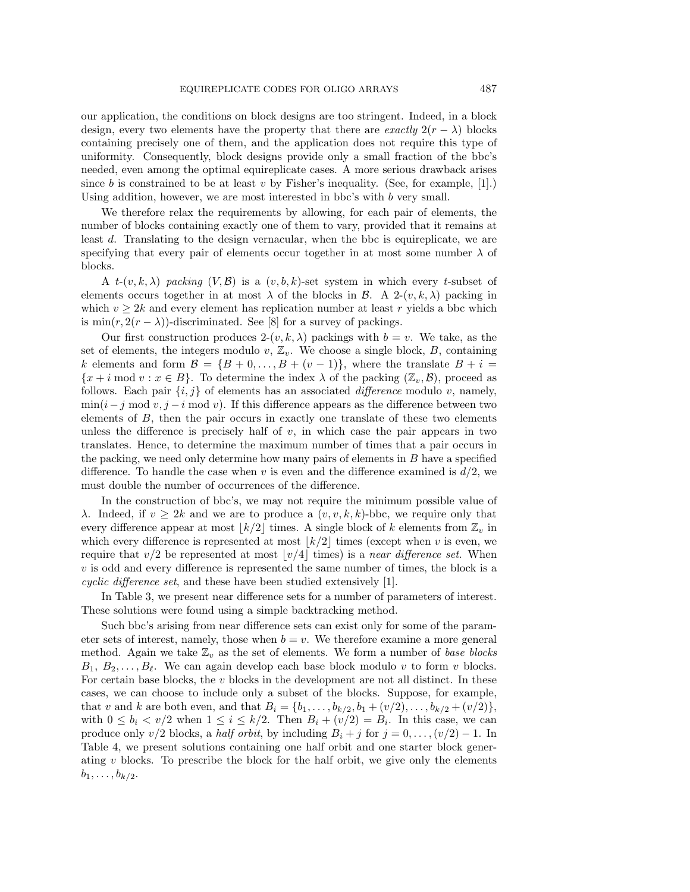our application, the conditions on block designs are too stringent. Indeed, in a block design, every two elements have the property that there are *exactly*  $2(r - \lambda)$  blocks containing precisely one of them, and the application does not require this type of uniformity. Consequently, block designs provide only a small fraction of the bbc's needed, even among the optimal equireplicate cases. A more serious drawback arises since b is constrained to be at least v by Fisher's inequality. (See, for example,  $[1]$ .) Using addition, however, we are most interested in bbc's with b very small.

We therefore relax the requirements by allowing, for each pair of elements, the number of blocks containing exactly one of them to vary, provided that it remains at least d. Translating to the design vernacular, when the bbc is equireplicate, we are specifying that every pair of elements occur together in at most some number  $\lambda$  of blocks.

A  $t-(v, k, \lambda)$  packing  $(V, \mathcal{B})$  is a  $(v, b, k)$ -set system in which every t-subset of elements occurs together in at most  $\lambda$  of the blocks in B. A 2- $(v, k, \lambda)$  packing in which  $v \geq 2k$  and every element has replication number at least r yields a bbc which is min $(r, 2(r - \lambda))$ -discriminated. See [8] for a survey of packings.

Our first construction produces  $2-(v, k, \lambda)$  packings with  $b = v$ . We take, as the set of elements, the integers modulo  $v, \mathbb{Z}_v$ . We choose a single block,  $B$ , containing k elements and form  $\mathcal{B} = \{B+0,\ldots,B+(v-1)\}\)$ , where the translate  $B+i=$  ${x + i \text{ mod } v : x \in B}$ . To determine the index  $\lambda$  of the packing  $(\mathbb{Z}_v, \mathcal{B})$ , proceed as follows. Each pair  $\{i, j\}$  of elements has an associated *difference* modulo v, namely,  $\min(i-j \mod v, j-i \mod v)$ . If this difference appears as the difference between two elements of  $B$ , then the pair occurs in exactly one translate of these two elements unless the difference is precisely half of  $v$ , in which case the pair appears in two translates. Hence, to determine the maximum number of times that a pair occurs in the packing, we need only determine how many pairs of elements in  $B$  have a specified difference. To handle the case when v is even and the difference examined is  $d/2$ , we must double the number of occurrences of the difference.

In the construction of bbc's, we may not require the minimum possible value of λ. Indeed, if  $v \geq 2k$  and we are to produce a  $(v, v, k, k)$ -bbc, we require only that every difference appear at most  $|k/2|$  times. A single block of k elements from  $\mathbb{Z}_v$  in which every difference is represented at most  $\lfloor k/2 \rfloor$  times (except when v is even, we require that  $v/2$  be represented at most  $\lfloor v/4 \rfloor$  times) is a near difference set. When  $v$  is odd and every difference is represented the same number of times, the block is a cyclic difference set, and these have been studied extensively [1].

In Table 3, we present near difference sets for a number of parameters of interest. These solutions were found using a simple backtracking method.

Such bbc's arising from near difference sets can exist only for some of the parameter sets of interest, namely, those when  $b = v$ . We therefore examine a more general method. Again we take  $\mathbb{Z}_v$  as the set of elements. We form a number of base blocks  $B_1, B_2, \ldots, B_\ell$ . We can again develop each base block modulo v to form v blocks. For certain base blocks, the  $v$  blocks in the development are not all distinct. In these cases, we can choose to include only a subset of the blocks. Suppose, for example, that v and k are both even, and that  $B_i = \{b_1, \ldots, b_{k/2}, b_1 + (v/2), \ldots, b_{k/2} + (v/2)\},\$ with  $0 \leq b_i \leq v/2$  when  $1 \leq i \leq k/2$ . Then  $B_i + (v/2) = B_i$ . In this case, we can produce only v/2 blocks, a half orbit, by including  $B_i + j$  for  $j = 0, \ldots, (v/2) - 1$ . In Table 4, we present solutions containing one half orbit and one starter block generating  $v$  blocks. To prescribe the block for the half orbit, we give only the elements  $b_1, \ldots, b_{k/2}.$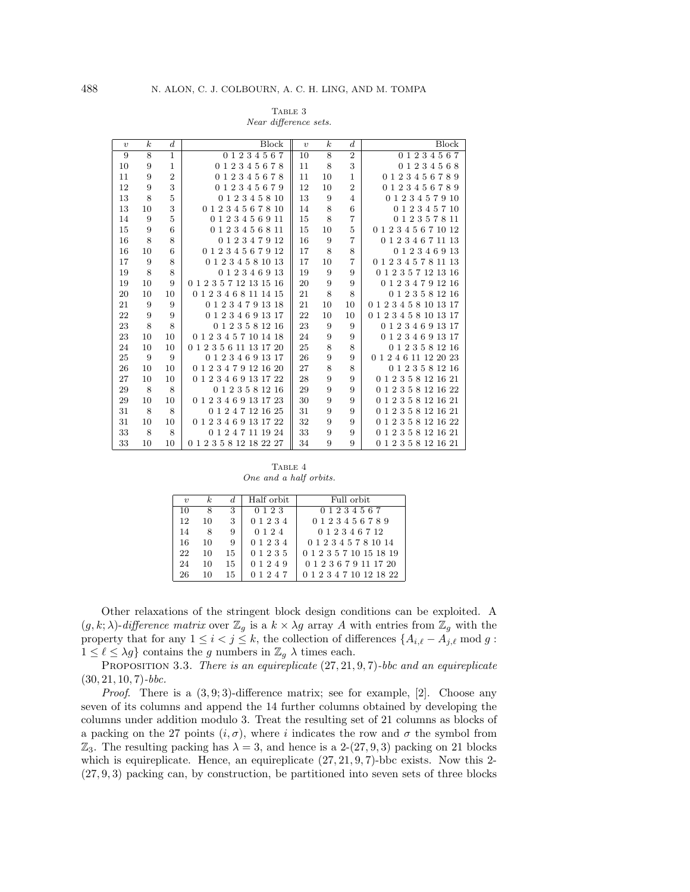| TABLE 3          |  |
|------------------|--|
| $1 \cdot \alpha$ |  |

| $\boldsymbol{v}$ | $\boldsymbol{k}$ | $\boldsymbol{d}$ | <b>Block</b>              | $\boldsymbol{v}$ | $\boldsymbol{k}$ | $\boldsymbol{d}$ | Block                     |
|------------------|------------------|------------------|---------------------------|------------------|------------------|------------------|---------------------------|
| 9                | $\overline{8}$   | $\overline{1}$   | 0 1 2 3 4 5 6 7           | 10               | $\overline{8}$   | $\overline{2}$   | 0 1 2 3 4 5 6 7           |
| 10               | 9                | $\mathbf{1}$     | 012345678                 | 11               | 8                | 3                | 0 1 2 3 4 5 6 8           |
| 11               | 9                | $\overline{2}$   | 012345678                 | 11               | 10               | $\mathbf{1}$     | 0123456789                |
| 12               | 9                | 3                | 0 1 2 3 4 5 6 7 9         | 12               | 10               | $\overline{2}$   | 0123456789                |
| 13               | 8                | $\overline{5}$   | $0\ 1\ 2\ 3\ 4\ 5\ 8\ 10$ | 13               | 9                | $\overline{4}$   | 0 1 2 3 4 5 7 9 10        |
| 13               | 10               | 3                | 0 1 2 3 4 5 6 7 8 10      | 14               | 8                | 6                | 0 1 2 3 4 5 7 10          |
| 14               | 9                | $\overline{5}$   | 0 1 2 3 4 5 6 9 11        | 15               | 8                | $\overline{7}$   | $0\ 1\ 2\ 3\ 5\ 7\ 8\ 11$ |
| 15               | 9                | 6                | 0 1 2 3 4 5 6 8 11        | 15               | 10               | $\overline{5}$   | 0 1 2 3 4 5 6 7 10 12     |
| 16               | 8                | 8                | 0 1 2 3 4 7 9 12          | 16               | $\boldsymbol{9}$ | $\overline{7}$   | 0 1 2 3 4 6 7 11 13       |
| 16               | 10               | 6                | 0 1 2 3 4 5 6 7 9 12      | 17               | 8                | 8                | 0 1 2 3 4 6 9 13          |
| 17               | 9                | 8                | 0 1 2 3 4 5 8 10 13       | 17               | 10               | $\overline{7}$   | 0 1 2 3 4 5 7 8 11 13     |
| 19               | 8                | 8                | 0 1 2 3 4 6 9 13          | 19               | 9                | 9                | 0 1 2 3 5 7 12 13 16      |
| 19               | 10               | 9                | 0 1 2 3 5 7 12 13 15 16   | 20               | 9                | 9                | 0 1 2 3 4 7 9 12 16       |
| 20               | 10               | 10               | 0 1 2 3 4 6 8 11 14 15    | 21               | 8                | 8                | 0 1 2 3 5 8 12 16         |
| 21               | 9                | 9                | 0 1 2 3 4 7 9 13 18       | 21               | 10               | 10               | 0 1 2 3 4 5 8 10 13 17    |
| 22               | 9                | 9                | 0 1 2 3 4 6 9 13 17       | 22               | 10               | 10               | 0 1 2 3 4 5 8 10 13 17    |
| 23               | 8                | 8                | 0 1 2 3 5 8 12 16         | 23               | 9                | 9                | 0 1 2 3 4 6 9 13 17       |
| 23               | 10               | 10               | 0 1 2 3 4 5 7 10 14 18    | 24               | $\boldsymbol{9}$ | 9                | 0 1 2 3 4 6 9 13 17       |
| 24               | 10               | 10               | 0 1 2 3 5 6 11 13 17 20   | 25               | $\,$ 8 $\,$      | 8                | 0 1 2 3 5 8 12 16         |
| 25               | 9                | 9                | 0 1 2 3 4 6 9 13 17       | 26               | $\boldsymbol{9}$ | 9                | 0 1 2 4 6 11 12 20 23     |
| 26               | 10               | 10               | 0 1 2 3 4 7 9 12 16 20    | 27               | $\,$ 8 $\,$      | 8                | 0 1 2 3 5 8 12 16         |
| 27               | 10               | 10               | 0 1 2 3 4 6 9 13 17 22    | 28               | $\boldsymbol{9}$ | $\overline{9}$   | 0 1 2 3 5 8 12 16 21      |
| 29               | 8                | 8                | 0 1 2 3 5 8 12 16         | 29               | 9                | 9                | 0 1 2 3 5 8 12 16 22      |
| 29               | 10               | 10               | 0 1 2 3 4 6 9 13 17 23    | 30               | 9                | 9                | 0 1 2 3 5 8 12 16 21      |
| 31               | 8                | 8                | 0 1 2 4 7 12 16 25        | 31               | $\boldsymbol{9}$ | 9                | 0 1 2 3 5 8 12 16 21      |
| 31               | 10               | 10               | 0 1 2 3 4 6 9 13 17 22    | 32               | 9                | 9                | 0 1 2 3 5 8 12 16 22      |
| 33               | 8                | 8                | 0 1 2 4 7 11 19 24        | 33               | 9                | 9                | 0 1 2 3 5 8 12 16 21      |
| 33               | 10               | 10               | 0 1 2 3 5 8 12 18 22 27   | 34               | 9                | 9                | 0 1 2 3 5 8 12 16 21      |

Near difference sets.

TABLE 4 One and a half orbits.

| $\eta$ | k. |    | Half orbit | Full orbit              |
|--------|----|----|------------|-------------------------|
| 10     | -8 | 3  | 0 1 2 3    | 0 1 2 3 4 5 6 7         |
| 12     | 10 | 3  | 0 1 2 3 4  | 0 1 2 3 4 5 6 7 8 9     |
| 14     | -8 | 9  | 0 1 2 4    | 0 1 2 3 4 6 7 12        |
| 16     | 10 | 9  | 0 1 2 3 4  | 0 1 2 3 4 5 7 8 10 14   |
| 22     | 10 | 15 | 0 1 2 3 5  | 0 1 2 3 5 7 10 15 18 19 |
| 24     | 10 | 15 | 0 1 2 4 9  | 0 1 2 3 6 7 9 11 17 20  |
| 26     | 10 | 15 | 0 1 2 4 7  | 0 1 2 3 4 7 10 12 18 22 |

Other relaxations of the stringent block design conditions can be exploited. A  $(g, k; \lambda)$ -difference matrix over  $\mathbb{Z}_g$  is a  $k \times \lambda g$  array A with entries from  $\mathbb{Z}_g$  with the property that for any  $1 \leq i < j \leq k$ , the collection of differences  $\{A_{i,\ell} - A_{j,\ell} \text{ mod } g:$  $1 \leq \ell \leq \lambda g$  contains the g numbers in  $\mathbb{Z}_q$   $\lambda$  times each.

PROPOSITION 3.3. There is an equireplicate  $(27, 21, 9, 7)$ -bbc and an equireplicate  $(30, 21, 10, 7)$ -bbc.

*Proof.* There is a  $(3, 9, 3)$ -difference matrix; see for example, [2]. Choose any seven of its columns and append the 14 further columns obtained by developing the columns under addition modulo 3. Treat the resulting set of 21 columns as blocks of a packing on the 27 points  $(i, \sigma)$ , where i indicates the row and  $\sigma$  the symbol from  $\mathbb{Z}_3$ . The resulting packing has  $\lambda = 3$ , and hence is a 2-(27, 9, 3) packing on 21 blocks which is equireplicate. Hence, an equireplicate  $(27, 21, 9, 7)$ -bbc exists. Now this 2-(27, 9, 3) packing can, by construction, be partitioned into seven sets of three blocks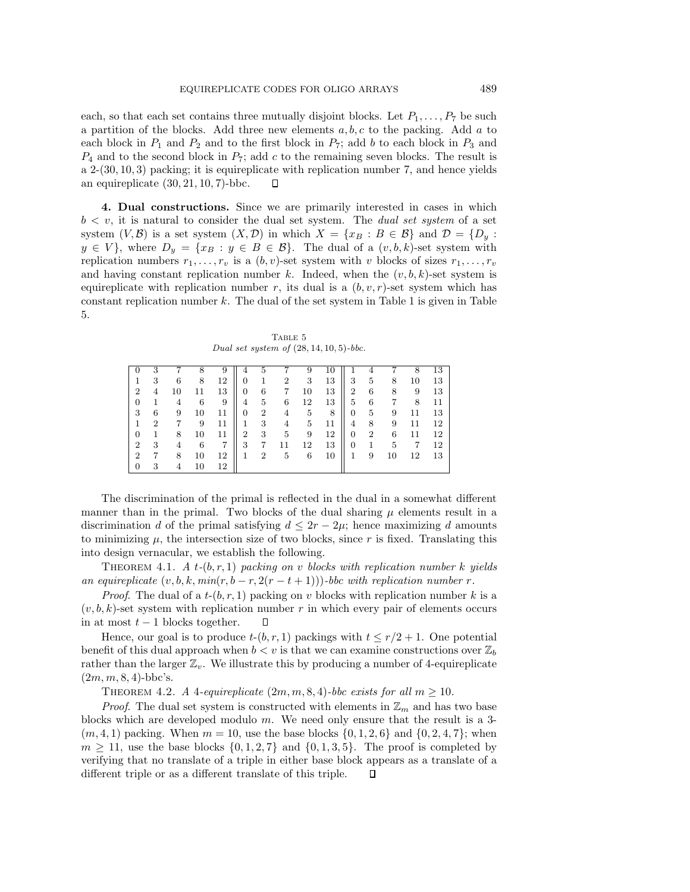each, so that each set contains three mutually disjoint blocks. Let  $P_1, \ldots, P_7$  be such a partition of the blocks. Add three new elements  $a, b, c$  to the packing. Add a to each block in  $P_1$  and  $P_2$  and to the first block in  $P_7$ ; add b to each block in  $P_3$  and  $P_4$  and to the second block in  $P_7$ ; add c to the remaining seven blocks. The result is  $a \, 2-(30, 10, 3)$  packing; it is equireplicate with replication number 7, and hence yields an equireplicate  $(30, 21, 10, 7)$ -bbc.  $\Box$ 

**4. Dual constructions.** Since we are primarily interested in cases in which  $b < v$ , it is natural to consider the dual set system. The *dual set system* of a set system  $(V, \mathcal{B})$  is a set system  $(X, \mathcal{D})$  in which  $X = \{x_B : B \in \mathcal{B}\}\$ and  $\mathcal{D} = \{D_y :$  $y \in V$ , where  $D_y = \{x_B : y \in B \in \mathcal{B}\}\$ . The dual of a  $(v, b, k)$ -set system with replication numbers  $r_1, \ldots, r_v$  is a  $(b, v)$ -set system with v blocks of sizes  $r_1, \ldots, r_v$ and having constant replication number k. Indeed, when the  $(v, b, k)$ -set system is equireplicate with replication number r, its dual is a  $(b, v, r)$ -set system which has constant replication number  $k$ . The dual of the set system in Table 1 is given in Table 5.

TABLE 5 Dual set system of  $(28, 14, 10, 5)$ -bbc.

| 0              | 3              |    |    | 9  | 4              | 5              |                |    | 10 |                | - 1 |    | 8  | 13 |
|----------------|----------------|----|----|----|----------------|----------------|----------------|----|----|----------------|-----|----|----|----|
| 1              | 3              | 6  | 8  | 12 | 0              |                | $\overline{2}$ | 3  | 13 | 3              | 5   | 8  | 10 | 13 |
| $\overline{2}$ | 4              | 10 |    | 13 | 0              | 6              | 7              | 10 | 13 | $\overline{2}$ | 6   | 8  | 9  | 13 |
| $\overline{0}$ | 1              | 4  | 6  | 9  | 4              | 5              | 6              | 12 | 13 | 5              | 6   | 7  | 8  | 11 |
| 3              | 6              | 9  | 10 | 11 | $\overline{0}$ | $\overline{2}$ | 4              | 5  | 8  | 0              | 5   | 9  | 11 | 13 |
| 1              | $\overline{2}$ |    | 9  | 11 |                | 3              | 4              | 5  | 11 | 4              | 8   | 9  | 11 | 12 |
| 0              | 1              | 8  | 10 | 11 | 2              | 3              | 5              | 9  | 12 | 0              | 2   | 6  | 11 | 12 |
| $\overline{2}$ | 3              | 4  | 6  | 7  | 3              |                |                | 12 | 13 | 0              |     | 5  | 7  | 12 |
| $\overline{2}$ | 7              | 8  | 10 | 12 | 1              | 2              | 5              | 6  | 10 | 1              | 9   | 10 | 12 | 13 |
| $\mathbf{0}$   | 3              | 4  | 10 | 12 |                |                |                |    |    |                |     |    |    |    |

The discrimination of the primal is reflected in the dual in a somewhat different manner than in the primal. Two blocks of the dual sharing  $\mu$  elements result in a discrimination d of the primal satisfying  $d \leq 2r - 2\mu$ ; hence maximizing d amounts to minimizing  $\mu$ , the intersection size of two blocks, since  $r$  is fixed. Translating this into design vernacular, we establish the following.

THEOREM 4.1. A t- $(b, r, 1)$  packing on v blocks with replication number k yields an equireplicate  $(v, b, k, min(r, b - r, 2(r - t + 1)))$ -bbc with replication number r.

*Proof.* The dual of a  $t-(b, r, 1)$  packing on v blocks with replication number k is a  $(v, b, k)$ -set system with replication number r in which every pair of elements occurs in at most  $t - 1$  blocks together.  $\Box$ 

Hence, our goal is to produce  $t-(b, r, 1)$  packings with  $t \leq r/2 + 1$ . One potential benefit of this dual approach when  $b < v$  is that we can examine constructions over  $\mathbb{Z}_b$ rather than the larger  $\mathbb{Z}_v$ . We illustrate this by producing a number of 4-equireplicate  $(2m, m, 8, 4)$ -bbc's.

THEOREM 4.2. A 4-equireplicate  $(2m, m, 8, 4)$ -bbc exists for all  $m \ge 10$ .

*Proof.* The dual set system is constructed with elements in  $\mathbb{Z}_m$  and has two base blocks which are developed modulo  $m$ . We need only ensure that the result is a 3- $(m, 4, 1)$  packing. When  $m = 10$ , use the base blocks  $\{0, 1, 2, 6\}$  and  $\{0, 2, 4, 7\}$ ; when  $m \geq 11$ , use the base blocks  $\{0, 1, 2, 7\}$  and  $\{0, 1, 3, 5\}$ . The proof is completed by verifying that no translate of a triple in either base block appears as a translate of a different triple or as a different translate of this triple. $\Box$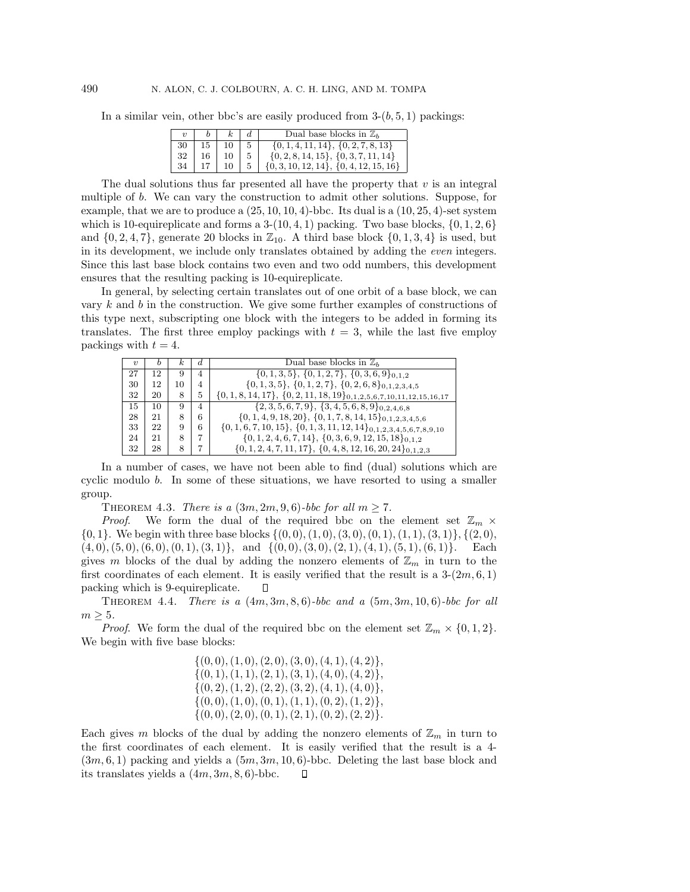In a similar vein, other bbc's are easily produced from  $3-(b, 5, 1)$  packings:

|    |  | Dual base blocks in $\mathbb{Z}_b$           |
|----|--|----------------------------------------------|
|    |  | $\{0, 1, 4, 11, 14\}, \{0, 2, 7, 8, 13\}$    |
| 32 |  | $\{0, 2, 8, 14, 15\}, \{0, 3, 7, 11, 14\}$   |
|    |  | $\{0, 3, 10, 12, 14\}, \{0, 4, 12, 15, 16\}$ |

The dual solutions thus far presented all have the property that  $v$  is an integral multiple of b. We can vary the construction to admit other solutions. Suppose, for example, that we are to produce a  $(25, 10, 10, 4)$ -bbc. Its dual is a  $(10, 25, 4)$ -set system which is 10-equireplicate and forms a  $3-(10, 4, 1)$  packing. Two base blocks,  $\{0, 1, 2, 6\}$ and  $\{0, 2, 4, 7\}$ , generate 20 blocks in  $\mathbb{Z}_{10}$ . A third base block  $\{0, 1, 3, 4\}$  is used, but in its development, we include only translates obtained by adding the even integers. Since this last base block contains two even and two odd numbers, this development ensures that the resulting packing is 10-equireplicate.

In general, by selecting certain translates out of one orbit of a base block, we can vary  $k$  and  $b$  in the construction. We give some further examples of constructions of this type next, subscripting one block with the integers to be added in forming its translates. The first three employ packings with  $t = 3$ , while the last five employ packings with  $t = 4$ .

| $\boldsymbol{\eta}$ | b  | k. | d.             | Dual base blocks in $\mathbb{Z}_b$                                          |
|---------------------|----|----|----------------|-----------------------------------------------------------------------------|
| 27                  | 12 | 9  | 4              | $\{0, 1, 3, 5\}, \{0, 1, 2, 7\}, \{0, 3, 6, 9\}_{0,1,2}$                    |
| 30                  | 12 | 10 | $\overline{4}$ | $\{0, 1, 3, 5\}, \{0, 1, 2, 7\}, \{0, 2, 6, 8\}_{0,1,2,3,4,5}$              |
| 32                  | 20 | 8  | 5              | $\{0, 1, 8, 14, 17\}, \{0, 2, 11, 18, 19\}_{0,1,2,5,6,7,10,11,12,15,16,17}$ |
| 15                  | 10 | 9  | $\overline{4}$ | $\{2,3,5,6,7,9\},\{3,4,5,6,8,9\}_{0,2,4,6,8}$                               |
| 28                  | 21 | 8  | 6              | $\{0, 1, 4, 9, 18, 20\}, \{0, 1, 7, 8, 14, 15\}_{0,1,2,3,4,5,6}$            |
| 33                  | 22 | 9  | 6              | $\{0, 1, 6, 7, 10, 15\}, \{0, 1, 3, 11, 12, 14\}_{0,1,2,3,4,5,6,7,8,9,10}$  |
| 24                  | 21 | 8  | 7              | $\{0, 1, 2, 4, 6, 7, 14\}, \{0, 3, 6, 9, 12, 15, 18\}_{0,1,2}$              |
| 32                  | 28 | 8  | 7              | $\{0, 1, 2, 4, 7, 11, 17\}, \{0, 4, 8, 12, 16, 20, 24\}_{0,1,2,3}$          |

In a number of cases, we have not been able to find (dual) solutions which are cyclic modulo b. In some of these situations, we have resorted to using a smaller group.

THEOREM 4.3. There is a  $(3m, 2m, 9, 6)$ -bbc for all  $m \ge 7$ .

*Proof.* We form the dual of the required bbc on the element set  $\mathbb{Z}_m$  ×  $\{0, 1\}$ . We begin with three base blocks  $\{(0, 0), (1, 0), (3, 0), (0, 1), (1, 1), (3, 1)\}, \{(2, 0),$  $(4, 0), (5, 0), (6, 0), (0, 1), (3, 1)\}, \text{ and } \{(0, 0), (3, 0), (2, 1), (4, 1), (5, 1), (6, 1)\}.$  Each gives m blocks of the dual by adding the nonzero elements of  $\mathbb{Z}_m$  in turn to the first coordinates of each element. It is easily verified that the result is a  $3-(2m,6,1)$ packing which is 9-equireplicate.  $\Box$ 

THEOREM 4.4. There is a  $(4m, 3m, 8, 6)$ -bbc and a  $(5m, 3m, 10, 6)$ -bbc for all  $m \geq 5$ .

*Proof.* We form the dual of the required bbc on the element set  $\mathbb{Z}_m \times \{0, 1, 2\}$ . We begin with five base blocks:

$$
\{(0,0), (1,0), (2,0), (3,0), (4,1), (4,2)\},\{(0,1), (1,1), (2,1), (3,1), (4,0), (4,2)\},\{(0,2), (1,2), (2,2), (3,2), (4,1), (4,0)\},\{(0,0), (1,0), (0,1), (1,1), (0,2), (1,2)\},\{(0,0), (2,0), (0,1), (2,1), (0,2), (2,2)\}.
$$

Each gives m blocks of the dual by adding the nonzero elements of  $\mathbb{Z}_m$  in turn to the first coordinates of each element. It is easily verified that the result is a 4-  $(3m, 6, 1)$  packing and yields a  $(5m, 3m, 10, 6)$ -bbc. Deleting the last base block and its translates yields a  $(4m, 3m, 8, 6)$ -bbc.  $\Box$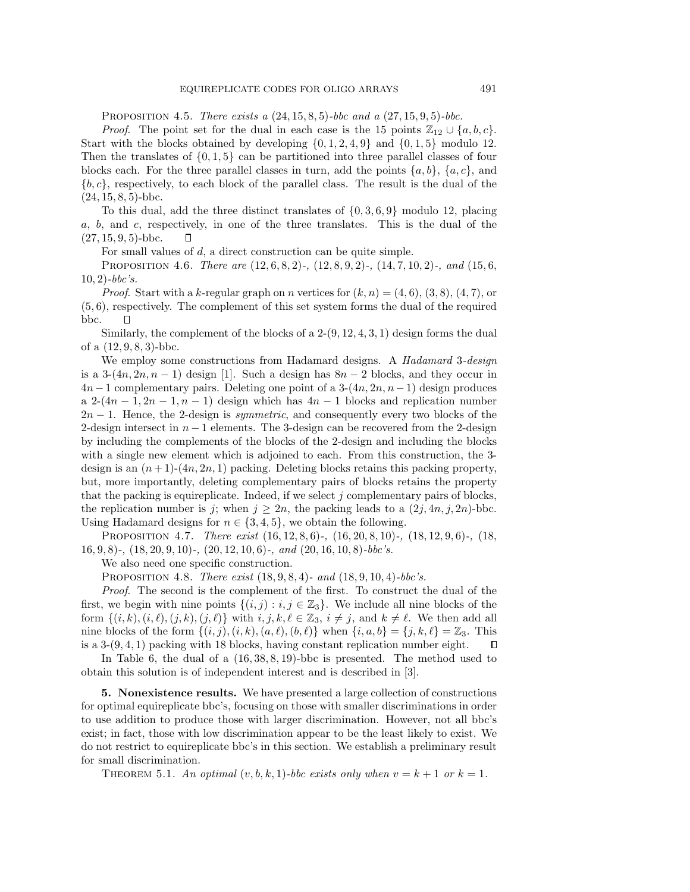PROPOSITION 4.5. There exists a  $(24, 15, 8, 5)$ -bbc and a  $(27, 15, 9, 5)$ -bbc.

*Proof.* The point set for the dual in each case is the 15 points  $\mathbb{Z}_{12} \cup \{a, b, c\}.$ Start with the blocks obtained by developing  $\{0, 1, 2, 4, 9\}$  and  $\{0, 1, 5\}$  modulo 12. Then the translates of  $\{0, 1, 5\}$  can be partitioned into three parallel classes of four blocks each. For the three parallel classes in turn, add the points  $\{a, b\}$ ,  $\{a, c\}$ , and  ${b, c}$ , respectively, to each block of the parallel class. The result is the dual of the  $(24, 15, 8, 5)$ -bbc.

To this dual, add the three distinct translates of  $\{0, 3, 6, 9\}$  modulo 12, placing a, b, and c, respectively, in one of the three translates. This is the dual of the  $(27, 15, 9, 5)$ -bbc. □

For small values of  $d$ , a direct construction can be quite simple.

PROPOSITION 4.6. There are  $(12, 6, 8, 2)$ -,  $(12, 8, 9, 2)$ -,  $(14, 7, 10, 2)$ -, and  $(15, 6, 6)$  $10, 2)$ -bbc's.

*Proof.* Start with a k-regular graph on n vertices for  $(k, n) = (4, 6), (3, 8), (4, 7)$ , or (5, 6), respectively. The complement of this set system forms the dual of the required bbc.  $\Box$ 

Similarly, the complement of the blocks of a  $2-(9, 12, 4, 3, 1)$  design forms the dual of a  $(12, 9, 8, 3)$ -bbc.

We employ some constructions from Hadamard designs. A *Hadamard* 3-*design* is a  $3-(4n, 2n, n-1)$  design [1]. Such a design has  $8n-2$  blocks, and they occur in  $4n-1$  complementary pairs. Deleting one point of a  $3-(4n, 2n, n-1)$  design produces a 2- $(4n-1, 2n-1, n-1)$  design which has  $4n-1$  blocks and replication number  $2n - 1$ . Hence, the 2-design is *symmetric*, and consequently every two blocks of the 2-design intersect in  $n-1$  elements. The 3-design can be recovered from the 2-design by including the complements of the blocks of the 2-design and including the blocks with a single new element which is adjoined to each. From this construction, the 3design is an  $(n+1)-(4n, 2n, 1)$  packing. Deleting blocks retains this packing property, but, more importantly, deleting complementary pairs of blocks retains the property that the packing is equireplicate. Indeed, if we select  $j$  complementary pairs of blocks, the replication number is j; when  $j \geq 2n$ , the packing leads to a  $(2j, 4n, j, 2n)$ -bbc. Using Hadamard designs for  $n \in \{3, 4, 5\}$ , we obtain the following.

PROPOSITION 4.7. There exist  $(16, 12, 8, 6)$ -,  $(16, 20, 8, 10)$ -,  $(18, 12, 9, 6)$ -,  $(18, 10)$ 16, 9, 8)-,  $(18, 20, 9, 10)$ -,  $(20, 12, 10, 6)$ -, and  $(20, 16, 10, 8)$ -bbc's.

We also need one specific construction.

PROPOSITION 4.8. There exist  $(18, 9, 8, 4)$ - and  $(18, 9, 10, 4)$ -bbc's.

Proof. The second is the complement of the first. To construct the dual of the first, we begin with nine points  $\{(i, j) : i, j \in \mathbb{Z}_3\}$ . We include all nine blocks of the form  $\{(i, k), (i, \ell), (j, k), (j, \ell)\}\$  with  $i, j, k, \ell \in \mathbb{Z}_3$ ,  $i \neq j$ , and  $k \neq \ell$ . We then add all nine blocks of the form  $\{(i, j), (i, k), (a, \ell), (b, \ell)\}\$  when  $\{i, a, b\} = \{j, k, \ell\} = \mathbb{Z}_3$ . This is a  $3-(9,4,1)$  packing with 18 blocks, having constant replication number eight.  $\Box$ 

In Table 6, the dual of a (16, 38, 8, 19)-bbc is presented. The method used to obtain this solution is of independent interest and is described in [3].

**5. Nonexistence results.** We have presented a large collection of constructions for optimal equireplicate bbc's, focusing on those with smaller discriminations in order to use addition to produce those with larger discrimination. However, not all bbc's exist; in fact, those with low discrimination appear to be the least likely to exist. We do not restrict to equireplicate bbc's in this section. We establish a preliminary result for small discrimination.

THEOREM 5.1. An optimal  $(v, b, k, 1)$ -bbc exists only when  $v = k + 1$  or  $k = 1$ .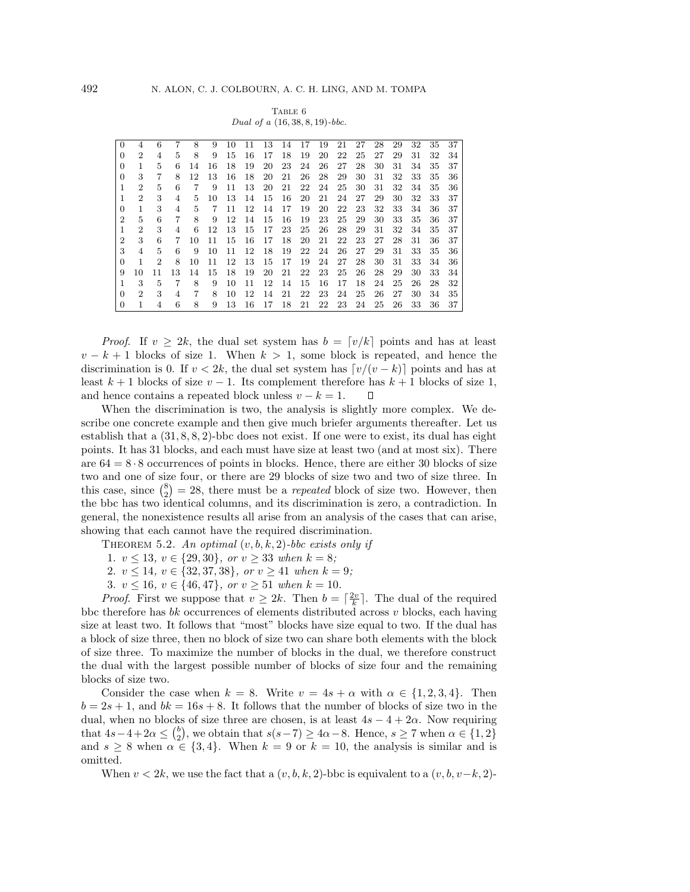|  | TABLE 6 |  |                                   |
|--|---------|--|-----------------------------------|
|  |         |  | Dual of a $(16, 38, 8, 19)$ -bbc. |

| $\Omega$       |                             | 6              |    | 8  | 9  | 10 | 11 | 13 | 14 | 17 | 19 | 21 | 27 | 28 | 29 | 32 | 35 | 37 |
|----------------|-----------------------------|----------------|----|----|----|----|----|----|----|----|----|----|----|----|----|----|----|----|
| 0              | $\overline{2}$              | $\overline{4}$ | 5  | 8  | 9  | 15 | 16 | 17 | 18 | 19 | 20 | 22 | 25 | 27 | 29 | 31 | 32 | 34 |
| 0              | 1                           | 5              | 6  | 14 | 16 | 18 | 19 | 20 | 23 | 24 | 26 | 27 | 28 | 30 | 31 | 34 | 35 | 37 |
| 0              | 3                           | 7              | 8  | 12 | 13 | 16 | 18 | 20 | 21 | 26 | 28 | 29 | 30 | 31 | 32 | 33 | 35 | 36 |
| 1              | $\overline{2}$              | 5              | 6  | 7  | 9  | 11 | 13 | 20 | 21 | 22 | 24 | 25 | 30 | 31 | 32 | 34 | 35 | 36 |
| 1              | $\overline{2}$              | 3              | 4  | 5  | 10 | 13 | 14 | 15 | 16 | 20 | 21 | 24 | 27 | 29 | 30 | 32 | 33 | 37 |
| $\Omega$       | 1                           | 3              | 4  | 5  | 7  | 11 | 12 | 14 | 17 | 19 | 20 | 22 | 23 | 32 | 33 | 34 | 36 | 37 |
| $\overline{2}$ | 5                           | 6              | 7  | 8  | 9  | 12 | 14 | 15 | 16 | 19 | 23 | 25 | 29 | 30 | 33 | 35 | 36 | 37 |
|                | $\overline{2}$              | 3              | 4  | 6  | 12 | 13 | 15 | 17 | 23 | 25 | 26 | 28 | 29 | 31 | 32 | 34 | 35 | 37 |
| $\overline{2}$ | 3                           | 6              | 7  | 10 | 11 | 15 | 16 | 17 | 18 | 20 | 21 | 22 | 23 | 27 | 28 | 31 | 36 | 37 |
| 3              | $\overline{4}$              | 5              | 6  | 9  | 10 | 11 | 12 | 18 | 19 | 22 | 24 | 26 | 27 | 29 | 31 | 33 | 35 | 36 |
| $\Omega$       | 1                           | 2              | 8  | 10 | 11 | 12 | 13 | 15 | 17 | 19 | 24 | 27 | 28 | 30 | 31 | 33 | 34 | 36 |
| 9              | 10                          | 11             | 13 | 14 | 15 | 18 | 19 | 20 | 21 | 22 | 23 | 25 | 26 | 28 | 29 | 30 | 33 | 34 |
| 1              | 3                           | 5              | 7  | 8  | 9  | 10 | 11 | 12 | 14 | 15 | 16 | 17 | 18 | 24 | 25 | 26 | 28 | 32 |
| 0              | $\mathcal{D}_{\mathcal{L}}$ | 3              | 4  | 7  | 8  | 10 | 12 | 14 | 21 | 22 | 23 | 24 | 25 | 26 | 27 | 30 | 34 | 35 |
| 0              |                             |                | 6  | 8  | 9  | 13 | 16 | 17 | 18 | 21 | 22 | 23 | 24 | 25 | 26 | 33 | 36 | 37 |
|                |                             |                |    |    |    |    |    |    |    |    |    |    |    |    |    |    |    |    |

*Proof.* If  $v \geq 2k$ , the dual set system has  $b = \lfloor v/k \rfloor$  points and has at least  $v - k + 1$  blocks of size 1. When  $k > 1$ , some block is repeated, and hence the discrimination is 0. If  $v < 2k$ , the dual set system has  $\lceil v/(v-k) \rceil$  points and has at least  $k + 1$  blocks of size  $v - 1$ . Its complement therefore has  $k + 1$  blocks of size 1, and hence contains a repeated block unless  $v - k = 1$ .  $\Box$ 

When the discrimination is two, the analysis is slightly more complex. We describe one concrete example and then give much briefer arguments thereafter. Let us establish that a  $(31, 8, 8, 2)$ -bbc does not exist. If one were to exist, its dual has eight points. It has 31 blocks, and each must have size at least two (and at most six). There are  $64 = 8 \cdot 8$  occurrences of points in blocks. Hence, there are either 30 blocks of size two and one of size four, or there are 29 blocks of size two and two of size three. In this case, since  $\binom{8}{2} = 28$ , there must be a *repeated* block of size two. However, then the bbc has two identical columns, and its discrimination is zero, a contradiction. In general, the nonexistence results all arise from an analysis of the cases that can arise, showing that each cannot have the required discrimination.

THEOREM 5.2. An optimal  $(v, b, k, 2)$ -bbc exists only if

1.  $v \le 13$ ,  $v \in \{29, 30\}$ , or  $v \ge 33$  when  $k = 8$ ;

2.  $v \le 14$ ,  $v \in \{32, 37, 38\}$ , or  $v \ge 41$  when  $k = 9$ ;

3.  $v \le 16$ ,  $v \in \{46, 47\}$ , or  $v \ge 51$  when  $k = 10$ .

*Proof.* First we suppose that  $v \geq 2k$ . Then  $b = \lceil \frac{2v}{k} \rceil$ . The dual of the required bbc therefore has  $bk$  occurrences of elements distributed across  $v$  blocks, each having size at least two. It follows that "most" blocks have size equal to two. If the dual has a block of size three, then no block of size two can share both elements with the block of size three. To maximize the number of blocks in the dual, we therefore construct the dual with the largest possible number of blocks of size four and the remaining blocks of size two.

Consider the case when  $k = 8$ . Write  $v = 4s + \alpha$  with  $\alpha \in \{1, 2, 3, 4\}$ . Then  $b = 2s + 1$ , and  $bk = 16s + 8$ . It follows that the number of blocks of size two in the dual, when no blocks of size three are chosen, is at least  $4s - 4 + 2\alpha$ . Now requiring that  $4s-4+2\alpha \leq {b \choose 2}$ , we obtain that  $s(s-7) \geq 4\alpha-8$ . Hence,  $s \geq 7$  when  $\alpha \in \{1,2\}$ and  $s \geq 8$  when  $\alpha \in \{3, 4\}$ . When  $k = 9$  or  $k = 10$ , the analysis is similar and is omitted.

When  $v < 2k$ , we use the fact that a  $(v, b, k, 2)$ -bbc is equivalent to a  $(v, b, v-k, 2)$ -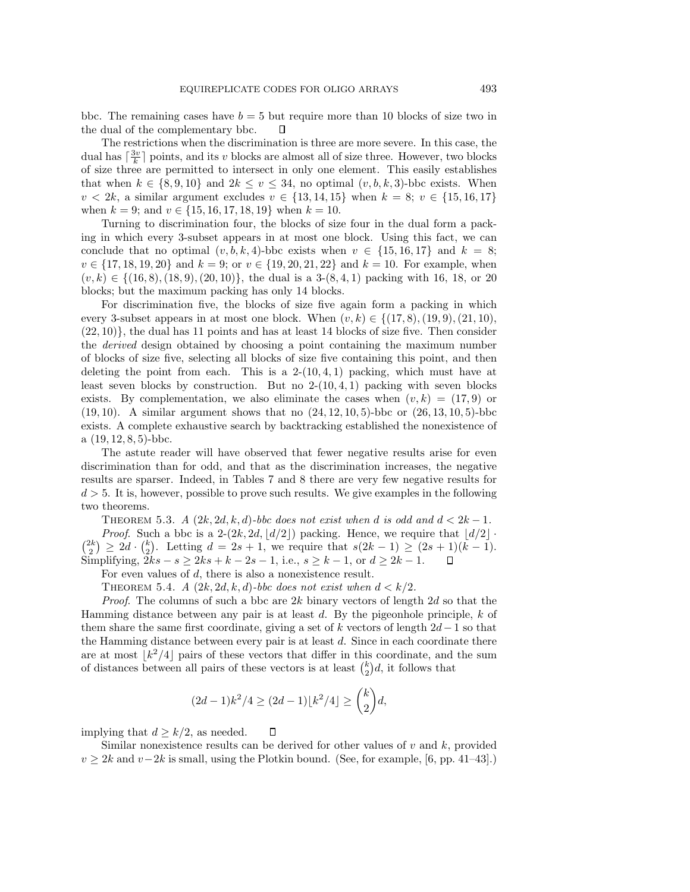bbc. The remaining cases have  $b = 5$  but require more than 10 blocks of size two in the dual of the complementary bbc.  $\Box$ 

The restrictions when the discrimination is three are more severe. In this case, the dual has  $\lceil \frac{3v}{k} \rceil$  points, and its v blocks are almost all of size three. However, two blocks of size three are permitted to intersect in only one element. This easily establishes that when  $k \in \{8, 9, 10\}$  and  $2k \le v \le 34$ , no optimal  $(v, b, k, 3)$ -bbc exists. When  $v < 2k$ , a similar argument excludes  $v \in \{13, 14, 15\}$  when  $k = 8$ ;  $v \in \{15, 16, 17\}$ when  $k = 9$ ; and  $v \in \{15, 16, 17, 18, 19\}$  when  $k = 10$ .

Turning to discrimination four, the blocks of size four in the dual form a packing in which every 3-subset appears in at most one block. Using this fact, we can conclude that no optimal  $(v, b, k, 4)$ -bbc exists when  $v \in \{15, 16, 17\}$  and  $k = 8$ ;  $v \in \{17, 18, 19, 20\}$  and  $k = 9$ ; or  $v \in \{19, 20, 21, 22\}$  and  $k = 10$ . For example, when  $(v, k) \in \{(16, 8), (18, 9), (20, 10)\}\$ , the dual is a 3- $(8, 4, 1)$  packing with 16, 18, or 20 blocks; but the maximum packing has only 14 blocks.

For discrimination five, the blocks of size five again form a packing in which every 3-subset appears in at most one block. When  $(v, k) \in \{(17, 8), (19, 9), (21, 10),$  $(22, 10)$ , the dual has 11 points and has at least 14 blocks of size five. Then consider the derived design obtained by choosing a point containing the maximum number of blocks of size five, selecting all blocks of size five containing this point, and then deleting the point from each. This is a  $2-(10, 4, 1)$  packing, which must have at least seven blocks by construction. But no  $2-(10, 4, 1)$  packing with seven blocks exists. By complementation, we also eliminate the cases when  $(v, k) = (17, 9)$  or  $(19, 10)$ . A similar argument shows that no  $(24, 12, 10, 5)$ -bbc or  $(26, 13, 10, 5)$ -bbc exists. A complete exhaustive search by backtracking established the nonexistence of a  $(19, 12, 8, 5)$ -bbc.

The astute reader will have observed that fewer negative results arise for even discrimination than for odd, and that as the discrimination increases, the negative results are sparser. Indeed, in Tables 7 and 8 there are very few negative results for  $d > 5$ . It is, however, possible to prove such results. We give examples in the following two theorems.

THEOREM 5.3. A  $(2k, 2d, k, d)$ -bbc does not exist when d is odd and  $d < 2k - 1$ . *Proof.* Such a bbc is a 2- $(2k, 2d, |d/2|)$  packing. Hence, we require that  $|d/2|$ .  ${2k \choose 2} \ge 2d \cdot {k \choose 2}$ . Letting  $d = 2s + 1$ , we require that  $s(2k - 1) \ge (2s + 1)(k - 1)$ . Simplifying,  $2ks - s \ge 2ks + k - 2s - 1$ , i.e.,  $s \ge k - 1$ , or  $d \ge 2k - 1$ .  $\Box$ 

For even values of d, there is also a nonexistence result.

THEOREM 5.4. A  $(2k, 2d, k, d)$ -bbc does not exist when  $d < k/2$ .

*Proof.* The columns of such a bbc are  $2k$  binary vectors of length  $2d$  so that the Hamming distance between any pair is at least  $d$ . By the pigeonhole principle,  $k$  of them share the same first coordinate, giving a set of k vectors of length  $2d-1$  so that the Hamming distance between every pair is at least  $d$ . Since in each coordinate there are at most  $|k^2/4|$  pairs of these vectors that differ in this coordinate, and the sum of distances between all pairs of these vectors is at least  $\binom{k}{2}d$ , it follows that

$$
(2d-1)k^2/4 \ge (2d-1)\lfloor k^2/4 \rfloor \ge \binom{k}{2}d,
$$

implying that  $d \geq k/2$ , as needed.  $\Box$ 

Similar nonexistence results can be derived for other values of  $v$  and  $k$ , provided  $v \geq 2k$  and  $v-2k$  is small, using the Plotkin bound. (See, for example, [6, pp. 41–43].)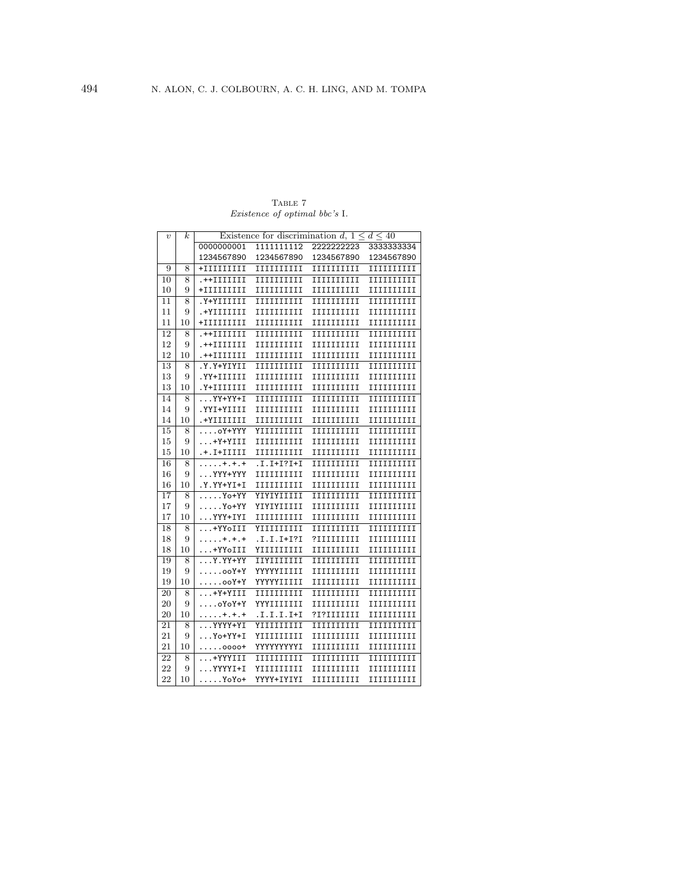TABLE 7 Existence of optimal bbc's I.

| $\boldsymbol{v}$ | k  | Existence for discrimination d, $1 \leq d \leq 40$ |             |            |             |  |
|------------------|----|----------------------------------------------------|-------------|------------|-------------|--|
|                  |    | 0000000001                                         | 1111111112  | 2222222223 | 3333333334  |  |
|                  |    | 1234567890                                         | 1234567890  | 1234567890 | 1234567890  |  |
| 9                | 8  | $+IIIIIIIII$                                       | IIIIIIIIII  | IIIIIIIIII | IIIIIIIIII  |  |
| 10               | 8  | .++IIIIIII                                         | IIIIIIIIII  | IIIIIIIIII | IIIIIIIIII  |  |
| 10               | 9  | +IIIIIIIII                                         | IIIIIIIIIII | 1111111111 | IIIIIIIIII  |  |
| 11               | 8  | Y+YIIIIII                                          | IIIIIIIIII  | IIIIIIIIII | IIIIIIIIII  |  |
| 11               | 9  | .+YIIIIIII                                         | IIIIIIIIII  | IIIIIIIIII | IIIIIIIIII  |  |
| 11               | 10 | +IIIIIIIII                                         | IIIIIIIIII  | IIIIIIIIII | IIIIIIIIII  |  |
| 12               | 8  | .++IIIIIII                                         | IIIIIIIIII  | IIIIIIIIII | IIIIIIIIII  |  |
| 12               | 9  | .++IIIIIII                                         | IIIIIIIIII  | IIIIIIIIII | IIIIIIIIII  |  |
| 12               | 10 | .++IIIIIII                                         | IIIIIIIIII  | IIIIIIIIII | IIIIIIIIII  |  |
| 13               | 8  | Y.Y+YIYII.                                         | IIIIIIIIII  | IIIIIIIIII | IIIIIIIIII  |  |
| 13               | 9  | .YY+IIIIII                                         | IIIIIIIIII  | IIIIIIIIII | IIIIIIIIII  |  |
| 13               | 10 | .Y+IIIIIII                                         | IIIIIIIIII  | IIIIIIIIII | IIIIIIIIII  |  |
| 14               | 8  | $\ldots$ YY+YY+I                                   | IIIIIIIIII  | IIIIIIIIII | IIIIIIIIII  |  |
| 14               | 9  | .YYI+YIIII                                         | IIIIIIIIII  | IIIIIIIIII | IIIIIIIIII  |  |
| 14               | 10 | .+YIIIIIII                                         | IIIIIIIIII  | IIIIIIIIII | IIIIIIIIII  |  |
| 15               | 8  | oY+YYY                                             | YIIIIIIIII  | IIIIIIIIII | IIIIIIIIII  |  |
| 15               | 9  | +Y+YIII                                            | IIIIIIIIII  | IIIIIIIIII | IIIIIIIIII  |  |
| 15               | 10 | .+.I+IIIII                                         | IIIIIIIIII  | IIIIIIIIII | IIIIIIIIII  |  |
| 16               | 8  | $\dots\dots$ +.+.+                                 | .I.I+I?I+I  | IIIIIIIIII | IIIIIIIIII  |  |
| 16               | 9  | YYY+YYY                                            | IIIIIIIIII  | IIIIIIIIII | IIIIIIIIII  |  |
| 16               | 10 | .Y.YY+YI+I                                         | IIIIIIIIIII | 1111111111 | 11111111111 |  |
| 17               | 8  | $\ldots$ . Yo+YY                                   | YIYIYIIIII  | IIIIIIIIII | IIIIIIIIII  |  |
| 17               | 9  | $\ldots$ . Yo+YY                                   | YIYIYIIIII  | IIIIIIIIII | IIIIIIIIII  |  |
| 17               | 10 | YYY+IYI                                            | IIIIIIIIII  | IIIIIIIIII | IIIIIIIIII  |  |
| 18               | 8  | +YYoIII                                            | YIIIIIIIII  | IIIIIIIIII | IIIIIIIIII  |  |
| 18               | 9  | . + . + . +                                        | .I.I.I+I?I  | ?IIIIIIIII | IIIIIIIIII  |  |
| 18               | 10 | +YYoIII                                            | YIIIIIIIII  | IIIIIIIIII | IIIIIIIIII  |  |
| 19               | 8  | Y.YY+YY                                            | IIYIIIIIII  | IIIIIIIIII | IIIIIIIIII  |  |
| 19               | 9  | $\ldots$ .ooY+Y                                    | YYYYYIIIII  | IIIIIIIIII | IIIIIIIIII  |  |
| 19               | 10 | ooY+Y                                              | YYYYYIIIII  | IIIIIIIIII | IIIIIIIIII  |  |
| 20               | 8  | +Y+YIII                                            | IIIIIIIIII  | IIIIIIIIII | IIIIIIIIII  |  |
| 20               | 9  | $\ldots$ oYoY+Y                                    | YYYIIIIIII  | IIIIIIIIII | IIIIIIIIII  |  |
| 20               | 10 | . + . + . +                                        | .I.I.I.I+I  | ?I?IIIIIII | IIIIIIIIII  |  |
| 21               | 8  | YYYY+YI                                            | YIIIIIIIII  | IIIIIIIIII | IIIIIIIIII  |  |
| 21               | 9  | Yo+YY+I                                            | YIIIIIIIII  | IIIIIIIIII | IIIIIIIIII  |  |
| 21               | 10 | $\ldots$ .0000+                                    | YYYYYYYYI   | IIIIIIIIII | IIIIIIIIII  |  |
| 22               | 8  | +YYYIII                                            | IIIIIIIIII  | IIIIIIIIII | IIIIIIIIII  |  |
| 22               | 9  | YYYYI+I                                            | YIIIIIIIIII | 1111111111 | IIIIIIIIII  |  |
| 22               | 10 | YoYo+                                              | YYYY+IYIYI  | IIIIIIIIII | IIIIIIIIII  |  |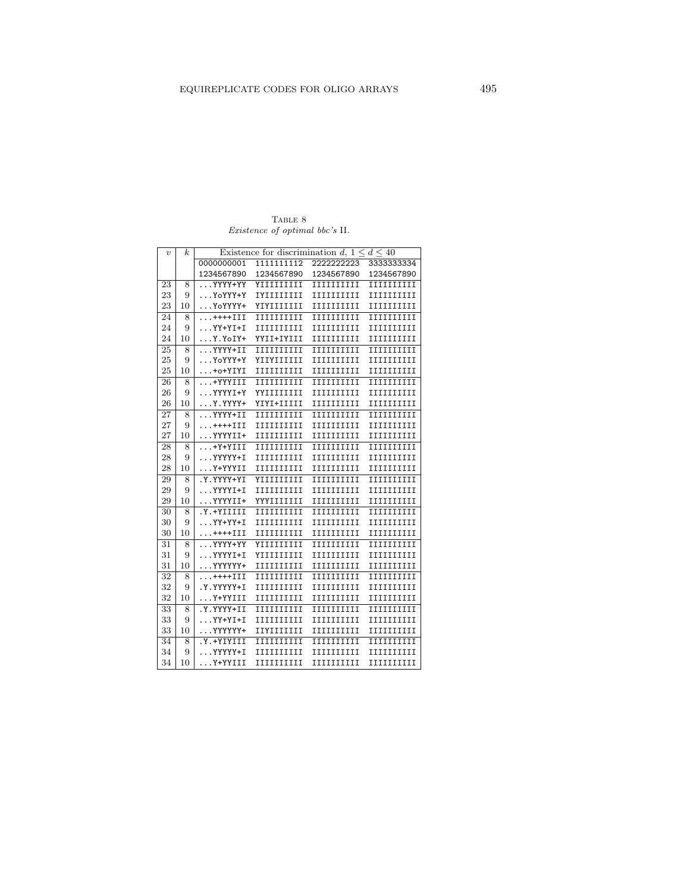TABLE  $\,$ Existence of optimal bbc's II.

| $\boldsymbol{v}$ | k  | Existence for discrimination d, $1 \leq d \leq 40$ |             |            |             |  |
|------------------|----|----------------------------------------------------|-------------|------------|-------------|--|
|                  |    | 0000000001                                         | 1111111112  | 2222222223 | 3333333334  |  |
|                  |    | 1234567890                                         | 1234567890  | 1234567890 | 1234567890  |  |
| 23               | 8  | YYYY+YY                                            | YIIIIIIIII  | IIIIIIIIII | IIIIIIIIII  |  |
| 23               | 9  | YoYYY+Y                                            | IYIIIIIIII  | IIIIIIIIII | IIIIIIIIII  |  |
| 23               | 10 | YoYYYY+                                            | YIYIIIIIII  | 1111111111 | IIIIIIIIII  |  |
| 24               | 8  | ++++III                                            | IIIIIIIIII  | IIIIIIIIII | IIIIIIIIII  |  |
| 24               | 9  | $\ldots$ YY+YI+I                                   | IIIIIIIIII  | IIIIIIIIII | IIIIIIIIII  |  |
| 24               | 10 | Y.YoIY+                                            | YYII+IYIII  | IIIIIIIIII | IIIIIIIIII  |  |
| 25               | 8  | YYYY+II                                            | IIIIIIIIII  | IIIIIIIIII | IIIIIIIIII  |  |
| 25               | 9  | YoYYY+Y                                            | YIIYIIIIII  | 1111111111 | 11111111111 |  |
| 25               | 10 | +o+YIYI                                            | 1111111111  | 1111111111 | IIIIIIIIII  |  |
| 26               | 8  | +YYYIII                                            | 1111111111  | 1111111111 | IIIIIIIIII  |  |
| 26               | 9  | YYYYI+Y                                            | YYIIIIIIII  | 1111111111 | IIIIIIIIII  |  |
| 26               | 10 | Y.YYYY+                                            | YIYI+IIIII  | IIIIIIIIII | IIIIIIIIII  |  |
| 27               | 8  | YYYY+II                                            | IIIIIIIIII  | IIIIIIIIII | IIIIIIIIII  |  |
| 27               | 9  | ++++III                                            | IIIIIIIIII  | IIIIIIIIII | IIIIIIIIII  |  |
| 27               | 10 | YYYYII+                                            | IIIIIIIIII  | IIIIIIIIII | IIIIIIIIII  |  |
| 28               | 8  | +Y+YIII                                            | 1111111111  | 1111111111 | IIIIIIIIII  |  |
| 28               | 9  | YYYYY+I                                            | 1111111111  | 1111111111 | IIIIIIIIII  |  |
| 28               | 10 | Y+YYYII                                            | IIIIIIIIII  | IIIIIIIIII | IIIIIIIIII  |  |
| 29               | 8  | .Y.YYYY+YI                                         | YIIIIIIIII  | 1111111111 | IIIIIIIIII  |  |
| 29               | 9  | YYYYI+I                                            | IIIIIIIIII  | IIIIIIIIII | IIIIIIIIII  |  |
| 29               | 10 | YYYYII+                                            | YYYIIIIIII  | IIIIIIIIII | IIIIIIIIII  |  |
| 30               | 8  | .Y.+YIIIII                                         | IIIIIIIIII  | IIIIIIIIII | IIIIIIIIII  |  |
| 30               | 9  | YY+YY+I                                            | 1111111111  | 1111111111 | IIIIIIIIII  |  |
| 30               | 10 | . ++++III                                          | IIIIIIIIII  | IIIIIIIIII | IIIIIIIIII  |  |
| 31               | 8  | YYYY+YY                                            | YIIIIIIIIII | 1111111111 | 1111111111  |  |
| 31               | 9  | YYYYI+I                                            | YIIIIIIIII  | IIIIIIIIII | IIIIIIIIII  |  |
| 31               | 10 | YYYYYY+                                            | IIIIIIIIII  | IIIIIIIIII | IIIIIIIIII  |  |
| 32               | 8  | ++++III                                            | IIIIIIIIII  | IIIIIIIIII | IIIIIIIIII  |  |
| 32               | 9  | .Y.YYYYY+I                                         | IIIIIIIIII  | IIIIIIIIII | IIIIIIIIII  |  |
| 32               | 10 | Y+YYIII                                            | IIIIIIIIII  | IIIIIIIIII | IIIIIIIIII  |  |
| 33               | 8  | .Y.YYYY+II                                         | IIIIIIIIII  | IIIIIIIIII | IIIIIIIIII  |  |
| 33               | 9  | YY+YI+I                                            | 1111111111  | IIIIIIIIII | IIIIIIIIII  |  |
| 33               | 10 | YYYYYY+                                            | IIYIIIIIII  | IIIIIIIIII | IIIIIIIIII  |  |
| 34               | 8  | Y.+YIYIII.                                         | IIIIIIIIII  | IIIIIIIIII | IIIIIIIIII  |  |
| 34               | 9  | YYYYY+I                                            | 1111111111  | 1111111111 | 1111111111  |  |
| 34               | 10 | Y+YYIII                                            | IIIIIIIIII  | IIIIIIIIII | IIIIIIIIII  |  |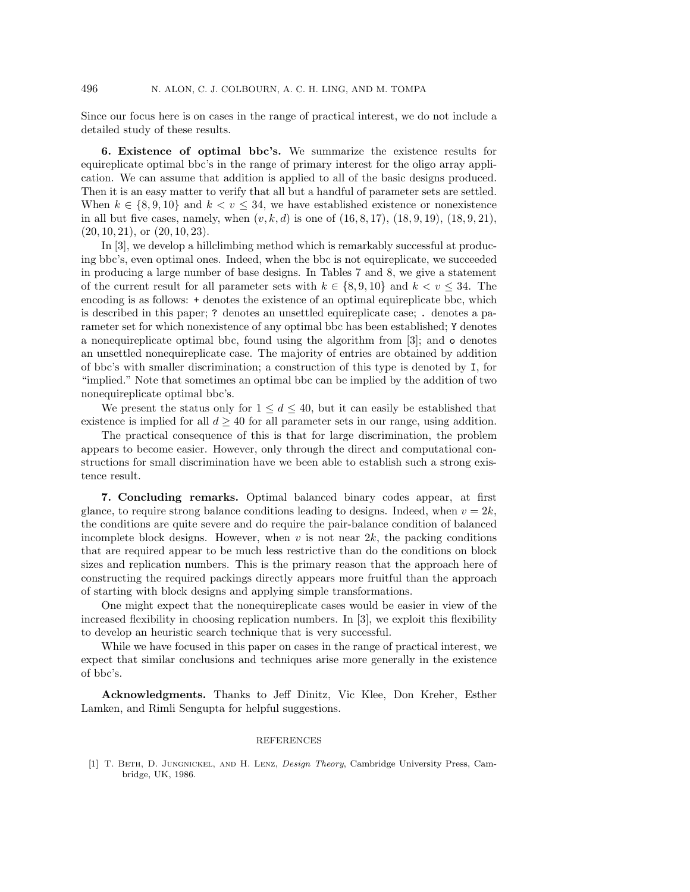Since our focus here is on cases in the range of practical interest, we do not include a detailed study of these results.

**6. Existence of optimal bbc's.** We summarize the existence results for equireplicate optimal bbc's in the range of primary interest for the oligo array application. We can assume that addition is applied to all of the basic designs produced. Then it is an easy matter to verify that all but a handful of parameter sets are settled. When  $k \in \{8, 9, 10\}$  and  $k < v \leq 34$ , we have established existence or nonexistence in all but five cases, namely, when  $(v, k, d)$  is one of  $(16, 8, 17)$ ,  $(18, 9, 19)$ ,  $(18, 9, 21)$ ,  $(20, 10, 21)$ , or  $(20, 10, 23)$ .

In [3], we develop a hillclimbing method which is remarkably successful at producing bbc's, even optimal ones. Indeed, when the bbc is not equireplicate, we succeeded in producing a large number of base designs. In Tables 7 and 8, we give a statement of the current result for all parameter sets with  $k \in \{8, 9, 10\}$  and  $k < v < 34$ . The encoding is as follows: + denotes the existence of an optimal equireplicate bbc, which is described in this paper; ? denotes an unsettled equireplicate case; . denotes a parameter set for which nonexistence of any optimal bbc has been established; Y denotes a nonequireplicate optimal bbc, found using the algorithm from [3]; and o denotes an unsettled nonequireplicate case. The majority of entries are obtained by addition of bbc's with smaller discrimination; a construction of this type is denoted by I, for "implied." Note that sometimes an optimal bbc can be implied by the addition of two nonequireplicate optimal bbc's.

We present the status only for  $1 \leq d \leq 40$ , but it can easily be established that existence is implied for all  $d \geq 40$  for all parameter sets in our range, using addition.

The practical consequence of this is that for large discrimination, the problem appears to become easier. However, only through the direct and computational constructions for small discrimination have we been able to establish such a strong existence result.

**7. Concluding remarks.** Optimal balanced binary codes appear, at first glance, to require strong balance conditions leading to designs. Indeed, when  $v = 2k$ , the conditions are quite severe and do require the pair-balance condition of balanced incomplete block designs. However, when  $v$  is not near  $2k$ , the packing conditions that are required appear to be much less restrictive than do the conditions on block sizes and replication numbers. This is the primary reason that the approach here of constructing the required packings directly appears more fruitful than the approach of starting with block designs and applying simple transformations.

One might expect that the nonequireplicate cases would be easier in view of the increased flexibility in choosing replication numbers. In [3], we exploit this flexibility to develop an heuristic search technique that is very successful.

While we have focused in this paper on cases in the range of practical interest, we expect that similar conclusions and techniques arise more generally in the existence of bbc's.

**Acknowledgments.** Thanks to Jeff Dinitz, Vic Klee, Don Kreher, Esther Lamken, and Rimli Sengupta for helpful suggestions.

## REFERENCES

[1] T. Beth, D. Jungnickel, and H. Lenz, Design Theory, Cambridge University Press, Cambridge, UK, 1986.